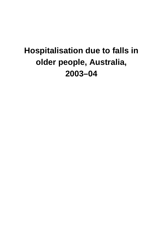## **Hospitalisation due to falls in older people, Australia, 2003–04**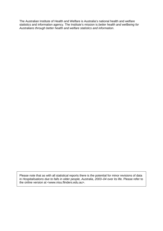The Australian Institute of Health and Welfare is Australia's national health and welfare statistics and information agency. The Institute's mission is *better health and wellbeing for Australians through better health and welfare statistics and information*.

Please note that as with all statistical reports there is the potential for minor revisions of data in *Hospitalisations due to falls in older people, Australia, 2003–04* over its life. Please refer to the online version at <www.nisu.flinders.edu.au>.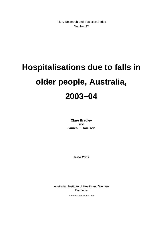Injury Research and Statistics Series Number 32

# **Hospitalisations due to falls in older people, Australia, 2003–04**

**Clare Bradley and James E Harrison** 

**June 2007** 

Australian Institute of Health and Welfare Canberra

AIHW cat. no. INJCAT 96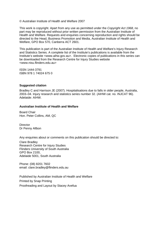© Australian Institute of Health and Welfare 2007

This work is copyright. Apart from any use as permitted under the *Copyright Act 1968*, no part may be reproduced without prior written permission from the Australian Institute of Health and Welfare. Requests and enquiries concerning reproduction and rights should be directed to the Head, Business Promotion and Media, Australian Institute of Health and Welfare, GPO Box 570, Canberra ACT 2601.

This publication is part of the Australian Institute of Health and Welfare's Injury Research and Statistics Series. A complete list of the Institute's publications is available from the Institute's website <www.aihw.gov.au>. Electronic copies of publications in this series can be downloaded from the Research Centre for Injury Studies website <www.nisu.flinders.edu.au>

ISSN 1444-3791 ISBN 978 1 74024 675 0

#### **Suggested citation**

Bradley C and Harrison JE (2007). Hospitalisations due to falls in older people, Australia, 2003–04. Injury research and statistics series number 32. (AIHW cat. no. INJCAT 96). Adelaide: AIHW.

#### **Australian Institute of Health and Welfare**

Board Chair Hon. Peter Collins, AM, QC

**Director** Dr Penny Allbon

Any enquiries about or comments on this publication should be directed to:

Clare Bradley Research Centre for Injury Studies Flinders University of South Australia GPO Box 2100, Adelaide 5001, South Australia

Phone: (08) 8201 7602 email: clare.bradley@flinders.edu.au

Published by Australian Institute of Health and Welfare Printed by Snap Printing Proofreading and Layout by Stacey Avefua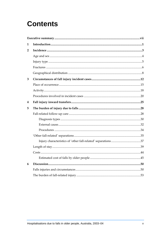## **Contents**

| 1            |  |
|--------------|--|
| $\mathbf{2}$ |  |
|              |  |
|              |  |
|              |  |
|              |  |
| 3            |  |
|              |  |
|              |  |
|              |  |
| 4            |  |
| 5            |  |
|              |  |
|              |  |
|              |  |
|              |  |
|              |  |
|              |  |
|              |  |
|              |  |
|              |  |
| 6            |  |
|              |  |
|              |  |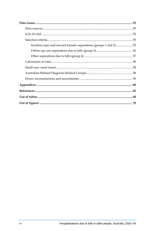| Incident cases and inward transfer separations (groups 1 and 2)55 |
|-------------------------------------------------------------------|
|                                                                   |
|                                                                   |
|                                                                   |
|                                                                   |
|                                                                   |
|                                                                   |
|                                                                   |
|                                                                   |
|                                                                   |
|                                                                   |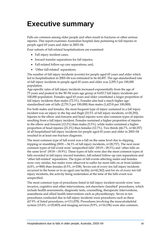## <span id="page-6-0"></span>**Executive summary**

Falls are common among older people and often result in fractures or other serious injuries. This report examines Australian hospital data pertaining to fall injuries in people aged 65 years and older in 2003–04.

Four subsets of fall-related hospitalisations are examined:

- Fall injury incident cases,
- Inward transfer separations for fall injuries;
- Fall-related follow-up care separations; and,
- 'Other fall-related' separations.

The number of fall injury incidents (events) for people aged 65 years and older which led to hospitalisation in 2003–04 was estimated to be 60,497. The age-standardised rate of fall injury incidents in people aged 65 years and older was 2,295.3 per 100,000 population.

Age-specific rates of fall injury incidents increased exponentially from the age of 75 years and peaked in the 90–94 years age group at 9,653.7 fall injury incidents per 100,000 population. Females aged 65 years and older constituted a larger proportion of fall injury incidents than males (72.3%). Females also had a much higher agestandardised rate of falls (2,751.5 per 100,000) than males (1,623.8 per 100,000).

For both males and females, the most frequent type of injury sustained in a fall injury incident was an injury to the hip and thigh (33.5% of fall injury incidents, n=20,292). Injuries to the elbow and forearm and head injuries were also common types of injuries resulting from a fall injury incident. Females sustained a higher proportion of injuries to the elbow and forearm (12.2%) than males (5.5%), while males sustained a higher proportion of head injuries (21.2%) than females (12.7%). Two thirds (66.7%, n=40,357) of all hospitalised fall injury incidents for people aged 65 years and older in 2003–04 resulted in at least one fracture diagnosis.

The most common type of fall event was a fall on the same level due to slipping, tripping or stumbling (W01 $-34.3\%$  of fall injury incidents, n=20,737). The next most common types of fall event were 'unspecified falls' (W19—28.5%) and 'other falls on the same level' (W18—18.9%). These types of falls were also the most common types of falls recorded in fall injury inward transfers, fall-related follow-up care separations and 'other fall-related' separations. The types of fall events affecting males and females were very similar, but males were observed to suffer far more falls on or from ladders  $(4.8\%$ , n=800) than females  $(0.5\%$ , n=238). Seven out of every ten fall injury incidents occurred in the home or in an aged care facility (n=42,362) and for six of every ten fall injury incidents, the activity being undertaken at the time of the falls event was unspecified.

The most common type of procedures listed in fall injury incident records were 'noninvasive, cognitive and other interventions, not elsewhere classified' procedures, which include health assessments, diagnostic tests, counselling, therapeutic interventions, anaesthesia and allied health interventions such as physiotherapy. Seven in ten procedures conducted due to fall injury incidents were procedures such as these (67.9% of listed procedures, n=111,078). Procedures involving the musculoskeletal system (15.8%, n=25,803) and imaging services (9.9%, n=16,196) were also common.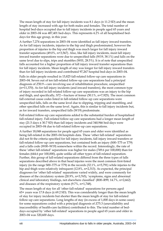The mean length of stay for fall injury incidents was 8.1 days  $(\pm 11.2 \text{ SD})$  and the mean length of stay increased with age for both males and females. The total number of hospital bed-days occupied due to fall injury incidents in people aged 65 years and older in 2003–04 was 487,401 bed-days. This represents 4.2% of all hospitalised beddays for this age group, in this year.

A further 7,274 separations in 2003–04 were identified as fall injury inward transfers. As for fall injury incidents, injuries to the hip and thigh predominated, however the proportion of injuries to the hip and thigh was much larger for fall injury inward transfer separations (49.0%, n=3,567). Also, like fall injury incidents, most fall injury inward transfer separations were due to unspecified falls (W19, 38.1%) and falls on the same level due to slips, trips and stumbles (W01, 28.5%). It is of note that unspecified falls accounted for a higher proportion of fall injury inward transfer separations than for fall injury incidents. Mean length of stay was longer for fall injury inward transfers than for fall injury incidents and contributed 97,267 hospital bed-days in 2003–04.

Falls in older people resulted in 15,825 fall-related follow-up care separations in 2003–04. Seven out of ten fall-related follow-up care separations had a principal diagnosis of Z50.9—care involving use of rehabilitation procedure, unspecified (n=11,370). As for fall injury incidents (and inward transfers), the most common type of injury recorded in fall-related follow-up care separations was an injury to the hip and thigh, and specifically, S72—fracture of femur (50.1%, n=7,925). The most common fall external cause codes listed in fall-related follow-up care separations were unspecified falls, falls on the same level due to slipping, tripping and stumbling, and other specified falls on the same level. Again, this is similar to fall injury incidents but, as for inward transfers, unspecified falls (W19) predominate.

Fall-related follow-up care separations added to the substantial burden of hospitalised fall-related injury. Fall-related follow-up care separations had a longer mean length of stay (21.5 days ± 30.7 SD) than fall injury incidents and 340,946 bed-days were occupied in 2003–04 due to fall-related follow-up care separations.

A further 18,048 separations for people aged 65 years and older were identified as being fall-related in the 2003–04 hospitals data. These 'other fall-related' separations did not fit the criteria specified for fall injury incidents, fall injury inward transfers or fall-related follow-up care separations, but contained both an injury (S00–T75 or T79) and a falls code (W00–W19) somewhere within the record. Interestingly, the rate of these 'other fall-related' separations was higher for males (749.6 per 100,000) than for females (644.6 per 100,000), quite unlike all other types of fall-related separation. Further, this group of fall-related separations differed from the three types of falls separations described above in that head injuries were the most common first-listed injury (in the range S00–T75 or T79) in the records (32.1%, n=5,791) while injuries to the hip and thigh were relatively infrequent (12.8%, n=2,313). As expected, the principal diagnoses for 'other fall-related' separations varied widely, and were commonly for diseases of the circulatory system (20.9%, n=3,765), 'symptoms, signs and abnormal clinical and laboratory findings, not elsewhere classified' (R00–R99, 14.7%, n=2,662) and diseases of the respiratory system (9.7%, n=1,748).

The mean length of stay for all 'other fall-related' separations for persons aged  $65+$  years was 17.8 days ( $\pm$  69.2 SD). This was considerably longer than the mean length of stay for injury incidents but shorter than the mean length of stay for fall-related follow-up care separations. Long lengths of stay (in excess of 1,000 days in some cases) for some separations coded with a principal diagnosis of Z75.3 (unavailability and inaccessibility of health-care facilities) contributed to this. The total number of beddays occupied by 'other fall-related' separations in people aged 65 years and older in 2003–04 was 320,600 days.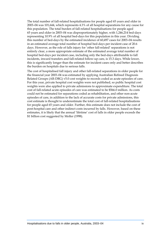The total number of fall-related hospitalisations for people aged 65 years and older in 2003–04 was 101,644, which represents 4.3% of all hospital separations for any cause for this population. The total burden of fall-related hospitalisations for people aged 65 years and older in 2003–04 was disproportionately higher, with 1,246,214 bed-days representing 10.9% of all hospital bed-days for this population in this year. Dividing this number of bed-days by the estimated incidence of 60,497 cases for 2003–04 results in an estimated average total number of hospital bed-days per incident case of 20.6 days. However, as the role of falls injury for 'other fall-related' separations is not entirely clear, a more appropriate estimate of the estimated average total number of hospital bed-days per incident case, including only the bed-days attributable to fall incidents, inward transfers and fall-related follow-up care, is 15.3 days. While lower, this is significantly longer than the estimate for incident cases only and better describes the burden on hospitals due to serious falls.

The cost of hospitalised fall injury and other fall-related separations in older people for the financial year 2003–04 was estimated by applying Australian Refined Diagnosis Related Groups (AR-DRG) v5.0 cost weights to records coded as acute episodes of care. For this year, private hospital cost weights were not published, so public hospital cost weights were also applied to private admissions to approximate expenditure. The total cost of fall-related acute episodes of care was estimated to be \$566.0 million. As costs could not be estimated for separations coded as rehabilitation, and other non-acute episodes of care, in addition to the lack of accurate costs for private admissions, this cost estimate is thought to underestimate the total cost of fall-related hospitalisations for people aged 65 years and older. Further, this estimate does not include the cost of post-hospital care and other indirect costs incurred by falls. However, based on these estimates, it is likely that the annual 'lifetime' cost of falls in older people exceeds the \$1 billion cost suggested by Moller (1998).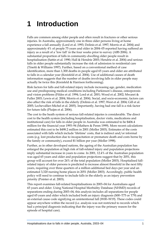## <span id="page-10-0"></span>**1 Introduction**

Falls are common among older people and often result in fractures or other serious injuries. In Australia, approximately one in three older persons living at home experience a fall annually (Lord et al. 1993; Dolinis et al. 1997; Morris et al. 2004) and approximately 4% of people 75 years and older in 2004–05 reported having suffered an injury as a result of a 'low fall' in the four weeks prior to survey (ABS 2006). A substantial proportion of falls in community-dwelling older people result in hospitalisation (Sattin et al. 1990; Hall & Hendrie 2003; Hendrie et al. 2004) and serious falls in older people substantially increase the risk of admission to residential care (Tinetti & Williams 1997). Further, based on a conventional method of case identification, more than 1,300 deaths in people aged 65 years and older are attributed to falls in a calendar year (Kreisfeld et al. 2004). Use of additional causes of death information suggests that the number of deaths involving falls in older people may actually be twice this (Kreisfeld & Harrison forthcoming).

Risk factors for falls and fall-related injury include increasing age, gender, medication use and predisposing medical conditions including Parkinson's disease, osteoporosis and vision problems (Fildes et al. 1994; Lord et al. 2001; Wood et al. 2002; Mwanri & Fuller 2003; Lewis et al. 2004; Morris et al. 2004). Social, and socio-economic, factors can also affect the risk of falls in the elderly (Dolinis et al. 1997; West et al. 2004; Gill et al. 2005; Lechevallier-Michel et al. 2005). Importantly, having had one fall is a risk factor for future falls (Pluijm et al. 2006).

The cost to the heath system of serious fall-related injuries is considerable. The direct cost to the health system (including hospitalisation, doctor visits, medications and institutional care) for falls in older people in Australia was estimated to be \$406.4 million for the financial year 1993–94 (Mathers & Penm 1999). More recent calculations estimated this cost to be \$498.2 million in 2001 (Moller 2003). Estimates of the costs associated with falls which include 'lifetime' costs, that is indirect and/or informal costs (e.g. lost production due to incapacitation or premature death and costs borne by the family or community), exceed \$1 billion per year (Moller 1998).

Further, as in other developed nations, the ageing of the Australian population has enlarged the population at high risk of fall-related injury and population projections imply substantial increase in years to come. In 2001, 12.4% of the Australian population was aged 65 years and older and population projections suggest that by 2051, this group will account for over 24% of the total population (Moller 2003). Hospitalised fallrelated injury of older persons is predicted to increase almost threefold in the next fifty years, requiring over three quarters of a million additional bed days per year and an estimated 3,320 nursing home places in 2051 (Moller 2003). Accordingly, public health policy will need to continue to include falls in the elderly as an injury prevention priority (Pointer et al. 2003).

This report examines fall-related hospitalisations in 2003–04 for Australians aged 65 years and older. Using National Hospital Morbidity Database (NHMD) records of separations ending during 2003–04, this analysis includes all separations for people aged 65 years and older which included both an injury diagnosis (S00–T75 or T79) and an external cause code signifying an unintentional fall (W00–W19). These codes could appear anywhere within the record (i.e. analysis was not restricted to records which had a principal diagnosis indicating that the injury was the primary reason for the episode of hospital care).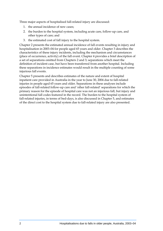Three major aspects of hospitalised fall-related injury are discussed:

- 1. the annual incidence of new cases;
- 2. the burden to the hospital system, including acute care, follow-up care, and other types of care; and
- 3. the estimated cost of fall injury to the hospital system.

Chapter 2 presents the estimated annual incidence of fall events resulting in injury and hospitalisation in 2003–04 for people aged 65 years and older. Chapter 3 describes the characteristics of these injury incidents, including the mechanism and circumstances (place of occurrence, activity) of the fall event. Chapter 4 provides a brief description of a set of separations omitted from Chapters 2 and 3; separations which meet the definition of incident case, but have been transferred from another hospital. Including these separations in incidence estimates would result in the multiple counting of some injurious fall events.

Chapter 5 presents and describes estimates of the nature and extent of hospital inpatient care provided in Australia in the year to June 30, 2004 due to fall-related injuries in people aged 65 years and older. Separations in these analyses include episodes of fall-related follow-up care and 'other fall-related' separations for which the primary reason for the episode of hospital care was not an injurious fall, but injury and unintentional fall codes featured in the record. The burden to the hospital system of fall-related injuries, in terms of bed-days, is also discussed in Chapter 5, and estimates of the direct cost to the hospital system due to fall-related injury are also presented.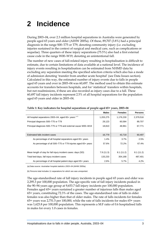## <span id="page-12-0"></span>**2 Incidence**

During 2003–04, over 2.3 million hospital separations in Australia were generated by people aged 65 years and older (AIHW 2005a). Of these, 89,707 (3.8%) had a principal diagnosis in the range S00–T75 or T79, denoting community injury (i.e. excluding injuries sustained in the context of surgical and medical care, such as complications or sequelae). Three quarters of these injury separations (75.5%) also had a first external cause code in the range W00–W19, denoting an unintentional fall.

The number of new cases of fall-related injury resulting in hospitalisation is difficult to estimate, due to certain limitations of data available at a national level. The incidence of injury events resulting in hospitalisation can be estimated from NHMD data by excluding any separation meeting the specified selection criteria which also has a mode of admission denoting 'transfer from another acute hospital' (see Data Issues section). Calculated in this way, the estimated number of injury events due to falls in people aged 65 years and over in 2003–04 was 60,497. The method used to obtain this estimate accounts for transfers between hospitals, and for 'statistical' transfers within hospitals, but not readmissions, if these are also recorded as injury cases due to a fall. These 60,497 fall injury incidents represent 2.5% of all hospital separations for the population aged 65 years and older in 2003–04.

|                                                               | <b>Males</b> | <b>Females</b> | <b>Persons</b> |
|---------------------------------------------------------------|--------------|----------------|----------------|
| All hospital separations 2003-04, aged 65+ years a, b         | 1,203,275    | 1,176,230      | 2,379,516      |
| Principal diagnosis S00-T75 or T79                            | 29,123       | 60,584         | 89,707         |
| Principal diagnosis S00–T75 or T79 and external cause W00–W19 | 18,810       | 48,961         | 67,771         |
|                                                               |              |                |                |
| Estimated falls incident cases                                | 16,779       | 43,718         | 60,497         |
| As percentage of all hospital separations aged 65+ years      | $1.4\%$      | 3.7%           | 2.5%           |
| As percentage of all S00-T75 or T79 injuries aged 65+ years   | 57.6%        | 72.2%          | 67.4%          |
|                                                               |              |                |                |
| Mean length of stay for fall injury incident cases: days (SD) | 7.9(11.3)    | 8.1(11.2)      | 8.1(11.2)      |
| Total bed-days, fall injury incident cases                    | 133,233      | 354,168        | 487,401        |
| As percentage of all hospital patient days aged 65+ years     | 2.6%         | 5.7%           | 4.2%           |

#### **Table 1: Key indicators for hospital separations of people aged 65+ years, 2003–04**

(a) Data source: *Australian hospital statistics 2003–04* (AIHW 2005a).

(b) Persons total includes 11 separations for which sex was unreported.

The age-standardised rate of fall injury incidents in people aged 65 years and older was 2,295.3 per 100,000 population. The age-specific rate of fall injury incidents peaked in the 90–94 years age group at 9,653.7 fall injury incidents per 100,000 population. Females aged 65+ years sustained a greater number of injurious falls than males aged 65+ years, constituting 72.3% of the cases. The age-standardised rate of falls in older females was also higher than that of older males. The rate of falls incidents for females 65+ years was 2,751.5 per 100,000, while the rate of falls incidents for males 65+ years was 1,623.8 per 100,000 population. This represents a M:F ratio of 0.6 hospitalised falls in males for every 1.0 cases in females.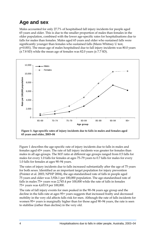### <span id="page-13-0"></span>**Age and sex**

Males accounted for only 27.7% of hospitalised fall injury incidents for people aged 65 years and older. This is due to the smaller proportion of males than females in the older population, combined with the lower age-specific rates for hospitalisations due to falls for males than females. Males aged 65 years and older who sustained falls were significantly younger than females who sustained falls (Mann Whitney U test, p<0.001). The mean age of males hospitalised due to fall injury incidents was 80.0 years (± 7.8 SD) while the mean age of females was 82.0 years (± 7.7 SD).



Figure 1 describes the age-specific rate of injury incidents due to falls in males and females aged 65+ years. The rate of fall injury incidents was greater for females than males in all age-groups. The M:F ratio at different age groups ranged from 0.5 falls for males for every 1.0 falls for females at ages 75–79 years to 0.7 falls for males for every 1.0 falls for females at ages 90–94 years.

The rates of injury incidents due to falls increased substantially after the age of 75 years for both sexes. Identified as an important target population for injury prevention (Pointer et al. 2003; NPHP 2004), the age-standardised rate of falls in people aged 75 years and older was 3,926.1 per 100,000 population. The age-standardised rate of falls in males 75+ years was 2,745.4 per 100,000 while the rate of falls in females 75+ years was 4,653.9 per 100,000.

The rate of fall injury events for men peaked in the 90–94 years age group and the decline in the falls rate at ages 95+ years suggests that increased frailty and decreased mobility in the very old affects falls risk for men. Although the rate of falls incidents for women 95+ years is marginally higher than for those aged 90–94 years, the rate is seen to stabilise (rather than decline) in the very old.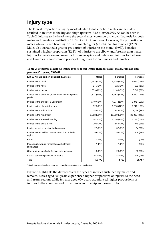### <span id="page-14-0"></span>**Injury type**

The largest proportion of injury incidents due to falls for both males and females resulted in injuries to the hip and thigh (persons: 33.5%, n=20,292). As can be seen in Table 2, injuries to the head were the second most common principal diagnosis for both males and females, constituting 15.0% of all incident cases. However, the proportion of males who suffered head injuries was much higher (21.2%) than for females (12.7%). Males also sustained a greater proportion of injuries to the thorax (9.9%). Females sustained a higher proportion (12.2%) of injuries to the elbow and forearm than males. Injuries to the abdomen, lower back, lumbar spine and pelvis and injuries to the knee and lower leg were common principal diagnoses for both males and females.

| ICD-10-AM 3rd edition principal diagnosis                      | <b>Males</b> | <b>Females</b> | <b>Persons</b> |
|----------------------------------------------------------------|--------------|----------------|----------------|
| Injuries to the head                                           | 3,553 (21%)  | 5,539 (13%)    | 9,092 (15%)    |
| Injuries to the neck                                           | 245 (1%)     | 326 (1%)       | 571 (1%)       |
| Injuries to the thorax                                         | 1,659 (10%)  | 2,183(5%)      | 3,842 (6%)     |
| Injuries to the abdomen, lower back, lumbar spine &<br>pelvis  | 1,617 (10%)  | 4,753 (11%)    | 6,370 (11%)    |
| Injuries to the shoulder & upper arm                           | 1,497 (9%)   | 4,374 (10%)    | 5,871 (10%)    |
| Injuries to the elbow & forearm                                | 923 (6%)     | 5,318 (12%)    | 6,241 (10%)    |
| Injuries to the wrist & hand                                   | 385 (2%)     | 644 (1%)       | 1,029 (2%)     |
| Injuries to the hip & thigh                                    | 5,203 (31%)  | 15,089 (35%)   | 20,292 (34%)   |
| Injuries to the knee & lower leg                               | 1,247 (7%)   | 4,536 (10%)    | 5,783 (10%)    |
| Injuries to the ankle & foot                                   | 195 (1%)     | 554 (1%)       | 749 (1%)       |
| Injuries involving multiple body regions                       | 27 (0%)      | 37 (0%)        | 64 (0%)        |
| Injuries to unspecified parts of trunk, limb or body<br>region | 154 (1%)     | 255 (1%)       | 406 (1%)       |
| <b>Burns</b>                                                   | $*(0\%)$     | $*(0\%)$       | $*(0%)$        |
| Poisoning by drugs, medications & biological<br>substances     | $*(0%)$      | $*(0\%)$       | $*(0%)$        |
| Other and unspecified effects of external causes               | $10(0\%)$    | 20 (0%)        | $30(0\%)$      |
| Certain early complications of trauma                          | 61 (0%)      | 87 (0%)        | 148 (0%)       |
| <b>Total</b>                                                   | 16,779       | 43,718         | 60,497         |

**Table 2: Principal diagnosis injury types for fall injury incident cases, males, females and persons 65+ years, 2003–04** 

\* Small case numbers have been suppressed to prevent patient identification.

Figure 2 highlights the differences in the types of injuries sustained by males and females. Males aged 65+ years experienced higher proportions of injuries to the head and trunk regions while females aged 65+ years experienced higher proportions of injuries to the shoulder and upper limbs and the hip and lower limbs.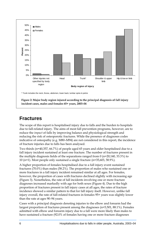

### <span id="page-15-0"></span>**Fractures**

The scope of this report is hospitalised injury due to falls and the burden to hospitals due to fall-related injury. The aims of most fall prevention programs, however, are to reduce the *impact* of falls by improving balance and physiological strength and reducing the risk of osteoporotic fractures. While the presence of diagnoses codes indicative of osteopathy (e.g. M80–M94) are not considered in this report, the incidence of fracture injuries due to falls has been analysed.

Two thirds (n=40,357, 66.7%) of people aged 65 years and older hospitalised due to a fall injury incident sustained at least one fracture. The number of fractures present in the multiple diagnosis fields of the separations ranged from 0 (n=20,140, 33.3%) to 10 (n=1). Most people only sustained a single fracture (n=35,603, 58.9%).

A higher proportion of females hospitalised due to a fall injury event sustained fractures (70.0%) than males (58.2%). The proportion of males who sustained one or more fractures in a fall injury incident remained similar at all ages. For females, however, the proportion of cases with fractures declined slightly with increasing age (Figure 3). Nonetheless, the rate of fall incidents involving one or more fracture diagnoses increased markedly with age for both sexes (Figure 4). Due to the high proportion of fractures present in fall injury cases at all ages, the rates of fracture incidence showed a similar pattern to that for fall injury itself. However, unlike fall injury overall, the rate of fall-related fractures in females 95+ years was slightly lower than the rate at ages 90–94 years.

Cases with a principal diagnosis denoting injuries to the elbow and forearm had the largest proportion of fractures present among the diagnoses (n=5,501, 88.1%). Females admitted with elbow and forearm injury due to a fall were more likely than males to have sustained a fracture (92.0% of females having one or more fracture diagnoses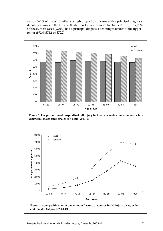versus 66.1% of males). Similarly, a high proportion of cases with a principal diagnosis denoting injuries to the hip and thigh reported one or more fractures (85.1%, n=17,268). Of these, most cases (92.0%) had a principal diagnosis denoting fractures of the upper femur (S72.0, S72.1 or S72.2).



 **Figure 3: The proportion of hospitalised fall injury incidents incurring one or more fracture diagnoses, males and females 65+ years, 2003–04** 



**and females 65+years, 2003–04**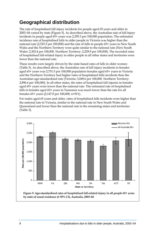### <span id="page-17-0"></span>**Geographical distribution**

The rate of hospitalised fall injury incidents for people aged 65 years and older in 2003–04 varied by state (Figure 5). As described above, the Australian rate of fall injury incidents in people aged 65+ years was 2,295.3 per 100,000 population. The estimated incidence rate of hospitalised falls in older people in Victoria was higher than the national rate (2,523.5 per 100,000) and the rate of falls in people 65+ years in New South Wales and the Northern Territory were quite similar to the national rate (New South Wales: 2,302.4 per 100,000. Northern Territory: 2,229.9 per 100,000). The recorded rates of hospitalised fall-related injury in older people in all other states and territories were lower than the national rate.

These results were largely driven by the state-based rates of falls in older women (Table 3). As described above, the Australian rate of fall injury incidents in females aged 65+ years was 2,751.5 per 100,000 population females aged 65+ years in Victoria and the Northern Territory had higher rates of hospitalised falls incidents than the Australian age-standardised rate (Victoria: 3,049.6 per 100,000. Northern Territory: 2,896.6 per 100,000). In all other states, the rates of hospitalised fall injuries in females aged 65+ years were lower than the national rate. The estimated rate of hospitalised falls in females aged 65+ years in Tasmania was much lower than the rate for all females 65+ years (2,147.0 per 100,000, n=911).

For males aged 65 years and older, rates of hospitalised falls incidents were higher than the national rate in Victoria, similar to the national rate in New South Wales and Queensland and lower than the national rate in the remaining states and territories (Table 3).

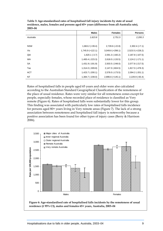|            | <b>Males</b>         | <b>Females</b>     | <b>Persons</b>     |
|------------|----------------------|--------------------|--------------------|
| Australia  | 1,623.8              | 2,751.5            | 2,295.3            |
|            |                      |                    |                    |
| <b>NSW</b> | $1,663.2 (+39.4)$    | 2,728.6 (-22.8)    | $2,302.4 (+7.1)$   |
| Vic        | $1,745.9 (+122.1)$   | $3,049.6 (+298.1)$ | $2,523.5 (+228.2)$ |
| Qld        | $1,620.1$ ( $-3.7$ ) | $2,591.3$ (-160.2) | 2,187.8 (-107.5)   |
| <b>WA</b>  | 1,400.4 (-223.3)     | 2,618.0 (-133.5)   | $2,124.2(-171.1)$  |
| SA         | 1,431.9 (-191.9)     | $2,503.5$ (-248.0) | 2,077.8 (-217.5)   |
| Tas        | 1,314.0 (-309.8)     | 2,147.0 (-604.5)   | 1,817.0 (-478.3)   |
| <b>ACT</b> | 1,423.7 (-200.1)     | 2,578.0 (-173.5)   | $2,094.2$ (-201.1) |
| NT         | 1,384.7 (-239.0)     | $2,896.6 (+145.1)$ | $2,229.9(-65.4)$   |

**Table 3: Age-standardised rates of hospitalised fall injury incidents by state of usual residence, males, females and persons aged 65+ years (difference from all-Australia rate), 2003–04** 

Rates of hospitalised falls in people aged 65 years and older were also calculated according to the Australian Standard Geographical Classification of the remoteness of the place of usual residence. Rates were very similar for all remoteness zones except for people, especially females, whose recorded place of residence is classified as Very remote (Figure 6). Rates of hospitalised falls were substantially lower for this group. This finding was associated with particularly low rates of hospitalised falls incidence for persons aged 80+ years living in Very remote areas (Figure 7). The lack of a strong association between remoteness and hospitalised fall injury is noteworthy because a positive association has been found for other types of injury cases (Berry & Harrison 2006).

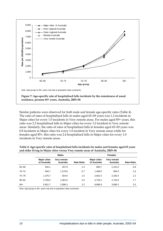

Similar patterns were observed for both male and female age-specific rates (Table 4). The ratio of rates of hospitalised falls in males aged 65–69 years was 1.2 incidents in Major cities for every 1.0 incidents in Very remote areas. For males aged 85+ years, this ratio was 2.2 hospitalised falls in Major cities for every 1.0 incident in Very remote areas. Similarly, the ratio of rates of hospitalised falls in females aged 65–69 years was 0.8 incidents in Major cities for every 1.0 incident in Very remote areas while for females aged 85+, this ratio was 2.4 hospitalised falls in Major cities for every 1.0 incidents in Very remote areas.

|           |                                     | <b>Males</b>             |                   |                                     | <b>Females</b>                  |                   |
|-----------|-------------------------------------|--------------------------|-------------------|-------------------------------------|---------------------------------|-------------------|
|           | <b>Major cities</b><br>of Australia | Very remote<br>Australia | <b>Rate Ratio</b> | <b>Major cities</b><br>of Australia | Very remote<br><b>Australia</b> | <b>Rate Ratio</b> |
| 65-69     | 545.1                               | 457.9                    | 1.2               | 869.7                               | 1.151.0                         | 0.8               |
| $70 - 74$ | 846.7                               | 1.279.6                  | 0.7               | 1,468.6                             | 894.5                           | 1.6               |
| $75 - 79$ | 1.375.7                             | 924.6                    | 1.5               | 2.651.0                             | 2.150.4                         | 1.2               |
| $80 - 84$ | 2,709.3                             | 1.381.6                  | 2.0               | 4.733.2                             | 2.734.0                         | 1.7               |
| $85+$     | 5,651.7                             | 2,586.3                  | 2.2               | 8,985.8                             | 3,666.2                         | 2.5               |

**Table 4: Age-specific rates of hospitalised falls incidents for males and females aged 65 years and older living in Major cities versus Very remote areas of Australia, 2003–04** 

*Note:* Age groups to 85+ years only due to population data constraints.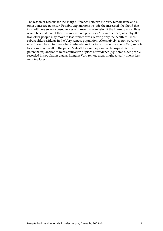The reason or reasons for the sharp difference between the Very remote zone and all other zones are not clear. Possible explanations include the increased likelihood that falls with less severe consequences will result in admission if the injured person lives near a hospital than if they live in a remote place, or a 'survivor effect', whereby ill or frail older people may move to less remote areas, leaving only the healthiest, most robust older residents in the Very remote population. Alternatively, a 'non-survivor effect' could be an influence here, whereby serious falls in older people in Very remote locations may result in the person's death before they can reach hospital. A fourth potential explanation is misclassification of place of residence (e.g. some older people recorded in population data as living in Very remote areas might actually live in less remote places).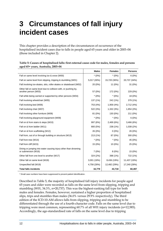### <span id="page-21-0"></span>**3 Circumstances of fall injury incident cases**

This chapter provides a description of the circumstances of occurrence of the hospitalised incident cases due to falls in people aged 65 years and older in 2003–04 (those included in Chapter 2).

#### **Table 5: Causes of hospitalised falls: first external cause code for males, females and persons aged 65+ years, Australia, 2003–04**

|                                                                                        | <b>Males</b> | <b>Females</b> | <b>Persons</b> |
|----------------------------------------------------------------------------------------|--------------|----------------|----------------|
| Fall on same level involving ice & snow (W00)                                          | $*(0\%)$     | $*(0\%)$       | 6(0%)          |
| Fall on same level from slipping, tripping & stumbling (W01)                           | 5,017 (30%)  | 15,720 (36%)   | 20,737 (34%)   |
| Fall involving ice-skates, skis, roller-skates or skateboard (W02)                     | 20 (0%)      | $11(0\%)$      | 31(0%)         |
| Other fall on same level due to collision with, or pushing by,<br>another person (W03) | 57 (0%)      | 172 (0%)       | 229 (0%)       |
| Fall while being carried or supported by other persons (W04)                           | $*(0\%)$     | $*(0\%)$       | 18 (0%)        |
| Fall involving wheelchair (W05)                                                        | 137 (1%)     | 242 (1%)       | 379 (1%)       |
| Fall involving bed (W06)                                                               | 753 (4%)     | 1,959 (4%)     | 2,712 (4%)     |
| Fall involving chair (W07)                                                             | 522 (3%)     | 1,332 (3%)     | 1,854 (3%)     |
| Fall involving other furniture (W08)                                                   | 81 (0%)      | 130 (0%)       | 211 (0%)       |
| Fall involving playground equipment (W09)                                              | $*(0\%)$     | $*(0\%)$       | 6(0%)          |
| Fall on & from stairs & steps (W10)                                                    | 997 (6%)     | 2,469 (6%)     | 3,466 (6%)     |
| Fall on & from ladder (W11)                                                            | 800 (5%)     | 238 (1%)       | 1,038 (2%)     |
| Fall on & from scaffolding (W12)                                                       | 26 (0%)      | $0(0\%)$       | 26 (0%)        |
| Fall from, out of or through building or structure (W13)                               | 213 (1%)     | 87 (0%)        | 300 (0%)       |
| Fall from tree (W14)                                                                   | $*(0\%)$     | $*(0\%)$       | 45 (0%)        |
| Fall from cliff (W15)                                                                  | 15 (0%)      | $10(0\%)$      | 25 (0%)        |
| Diving or jumping into water causing injury other than drowning<br>or submersion (W16) | 7(0%)        | 8(0%)          | 15 (0%)        |
| Other fall from one level to another (W17)                                             | 324 (2%)     | 398 (1%)       | 722 (1%)       |
| Other fall on same level (W18)                                                         | 3,001 (18%)  | 8,436 (19%)    | 11,437 (19%)   |
| Unspecified fall (W19)                                                                 | 4,758 (28%)  | 12,482 (29%)   | 17,240 (28%)   |
| <b>Total falls incidents</b>                                                           | 16,779       | 43,718         | 60,497         |

\* Small case numbers have been suppressed to prevent patient identification.

Described in Table 5, the majority of hospitalised fall injury incidents for people aged 65 years and older were recorded as falls on the same level from slipping, tripping and stumbling (W01, 34.3%, n=20,737). This was the highest-ranking fall type for both males and females. Females, however, sustained a higher proportion of hospitalised slips, trips and stumbles than males (36.0% versus 29.9% respectively). The third edition of the ICD-10-AM allows falls from slipping, tripping and stumbling to be differentiated through the use of a fourth-character code. Falls on the same level due to tripping were most common, representing 60.7% of all W01 injury incidents (n=12,585). Accordingly, the age-standardised rate of falls on the same level due to tripping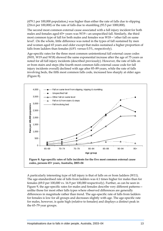(479.1 per 100,000 population,) was higher than either the rate of falls due to slipping (216.6 per 100,000) or the rate of falls due to stumbling (93.5 per 1000,000).

The second most common external cause associated with a fall injury incident for both males and females aged 65+ years was W19—an unspecified fall. Similarly, the third most common type of fall for both males and females was W18—'other fall on same level'. On the whole, little difference was noted in the types of fall sustained by men and women aged 65 years and older except that males sustained a higher proportion of falls from ladders than females (4.8% versus 0.5%, respectively).

Age-specific rates for the three most common unintentional fall external cause codes (W01, W19 and W18) showed the same exponential increase after the age of 75 years as noted for all fall injury incidents (described previously). However, the rate of falls on or from stairs and steps (the fourth most common falls external cause code for fall injury incidents overall) declined with age after 85–89 years, while the rate of falls involving beds, the fifth most common falls code, increased less sharply at older ages (Figure 8).



A particularly interesting type of fall injury is that of falls on or from ladders (W11). The age-standardised rate of falls from ladders was 4.1 times higher for males than for females (69.0 per 100,000 vs. 16.9 per 100,000 respectively). Further, as can be seen in Figure 9, the age-specific rates for males and females describe very different patterns unlike those for most other falls types where observed differences are generally differences in magnitude rather than trend. The age-specific rate of falls from ladders for females is low for all groups and decreases slightly with age. The age-specific rate for males, however, is quite high (relative to females) and displays a distinct peak in the 65–79 year groups.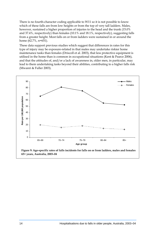There is no fourth-character coding applicable to W11 so it is not possible to know which of these falls are from low heights or from the top of very tall ladders. Males, however, sustained a higher proportion of injuries to the head and the trunk (15.0% and 37.4%, respectively) than females (10.1% and 18.1%, respectively), suggesting falls from a greater height. Most falls on or from ladders were sustained in or around the home (62.7%, n=651).

These data support previous studies which suggest that differences in rates for this type of injury may be exposure-related in that males may undertake riskier home maintenance tasks than females (Driscoll et al. 2003), that less protective equipment is utilised in the home than is common in occupational situations (Kent & Pearce 2006), and that the attitudes of, and/or a lack of awareness in, older men, in particular, may lead to them undertaking tasks beyond their abilities, contributing to a higher falls risk (Mwanri & Fuller 2003).

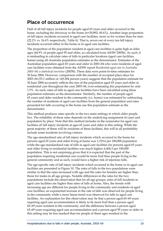#### <span id="page-24-0"></span>**Place of occurrence**

Half of all fall injury incidents for people aged 65 years and older occurred in the home, including the driveway to the home (n=29,892, 49.4%). Another large proportion of fall injury incidents occurred in aged care facilities, more so for women than for men (22.2% vs. 16.4% respectively, Table 6). That is, seven out of every ten fall injury incidents occurred either in the home or in aged care facilities.

The proportion of the population resident in aged care facilities is quite high at older ages (44.9% of people aged 95 and older, as calculated from AIHW 2005b). As such, it is misleading to calculate rates of falls in particular locations (aged care facilities, home) using all-Australia population estimates as the denominator. Estimates of the Australian population aged 65 years and older in 2003–04 who were residents of aged care facilities were obtained from the AIHW report *Residential aged care in Australia 2003–04: a statistical overview* (2005b). These data were point-in-time estimates for 30 June 2004. However, comparison with the number of occupied place-days for 2003–04 (53.1 million or 145,504 person-years) suggests that the population estimate for 30 June 2004 accurately reflects the size of the population aged 65 years and older in residential care throughout the year 2003–04, over-estimating this population by only 1.5%. As such, rates of falls in aged care facilities have been calculated using these population estimates as the denominator. Similarly, the number of people aged 65 years and older resident in the community (i.e. home) was estimated by subtracting the number of residents of aged care facilities from the general population and rates presented for falls occurring in the home use this population estimate as the denominator.

This method produces rates specific to the two main settings in which older people live. The reliability of these rates depends on the underlying assignment of cases and population by place. Note that this method includes in the numerator for aged care facilities *all* fall injury incidents at ages 65 years and older in this setting. While the great majority of these will be residents of these facilities, this will in all probability include some incidents involving visitors.

The age-standardised rate of fall injury incidents which occurred in the home for persons aged 65 years and older living at home was 1,319.6 per 100,000 population while the age-standardised rate of falls in aged care facilities for persons aged 65 years and older living in residential facilities was much higher; 6,404.3 per 100,000 population. This is not surprising given that it is expected that the part of the population requiring residential care would be more frail than people living in the general community and as such, would have a higher risk of injurious falls.

The age-specific rate of fall injury incidents which occurred in the home or in aged care facilities are presented in Figure 10. The rates of falls in the two populations were similar in that the rates increased with age and the rates for females are higher than those for males in all age groups. Notable differences in the rates for the two populations include the observation that for all age groups, rates of fall incidents in aged care facilities are higher than rates of falls at home. Also, the trends with increasing age are different for people living in the community and residents of aged care facilities; an exponential increase in the rate of falls was observed for people living in the community while a more linear trend was observed for falls in aged care facilities. An explanation for this observation may be that a person aged 65–69 years requiring aged care accommodation is likely to be more frail than a person aged 65–69 years resident in the community, and the difference between a person aged 65–69 years requiring aged care accommodation and a person aged 95 years or older in this setting may be less marked than for people of these ages resident in the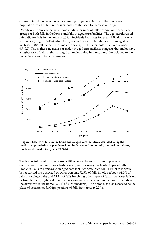community. Nonetheless, even accounting for general frailty in the aged care population, rates of fall injury incidents are still seen to increase with age.

Despite appearances, the male:female ratios for rates of falls are similar for each age group for both falls in the home and falls in aged care facilities. The age-standardised rate ratio for falls in the home is 0.5 fall incidents for males for every 1.0 fall incidents in females (range: 0.5–0.6) while the age-standardised rate ratio for falls in aged care facilities is 0.8 fall incidents for males for every 1.0 fall incidents in females (range: 0.7–0.9). The higher rate ratios for males in aged care facilities suggests that males have a higher risk of falls in this setting than males living in the community, relative to the respective rates of falls by females.



**males and females 65+ years, 2003–04** 

The home, followed by aged care facilities, were the most common places of occurrence for fall injury incidents overall, and for many particular types of falls (Table 6). Falls in homes and in aged care facilities accounted for 94.4% of falls while being carried or supported by other persons, 92.5% of falls involving beds, 81.0% of falls involving chairs and 78.7% of falls involving other types of furniture. Most falls on or from ladders, highlighted in the previous section, occurred in the home, including the driveway to the home (62.7% of such incidents). The home was also recorded as the place of occurrence for high portions of falls from trees (62.2%).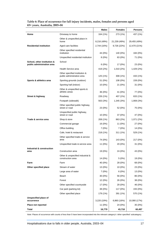|                                                           |                                                             | <b>Males</b> | <b>Females</b> | <b>Persons</b> |
|-----------------------------------------------------------|-------------------------------------------------------------|--------------|----------------|----------------|
| Home                                                      | Driveway to home                                            | 164 (1%)     | 273 (1%)       | 437 (1%)       |
|                                                           | Other & unspecified place in<br>home                        | 8,216 (49%)  | 21,239 (49%)   | 29,455 (49%)   |
| <b>Residential institution</b>                            | Aged care facilities                                        | 2,744 (16%)  | 9,726 (22%)    | 12,470 (21%)   |
|                                                           | Other specified residential<br>institution                  | 44 (0%)      | 140 (0%)       | 184 (0%)       |
|                                                           | Unspecified residential institution                         | 8(0%)        | 63 (0%)        | 71 (0%)        |
| School, other institution &<br>public administration area | School                                                      | 6(0%)        | 17 (0%)        | 23 (0%)        |
|                                                           | Health Service area                                         | 419 (2%)     | 1,010 (2%)     | 1,429 (2%)     |
|                                                           | Other specified institution &<br>public administrative area | 125 (1%)     | 308 (1%)       | 433 (1%)       |
| Sports & athletics area                                   | Sporting grounds (outdoor)                                  | 51 (0%)      | 108 (0%)       | 159 (0%)       |
|                                                           | Sporting hall (indoor)                                      | 10 (0%)      | 21 (0%)        | 31 (0%)        |
|                                                           | Other & unspecified sports &<br>athletic areas              | 36 (0%)      | 41 (0%)        | 77 (0%)        |
| Street & highway                                          | Roadway                                                     | 226 (1%)     | 407 (1%)       | 633 (1%)       |
|                                                           | Footpath (sidewalk)                                         | 563 (3%)     | 1,345 (3%)     | 1,908 (3%)     |
|                                                           | Other specified public highway,<br>street or road           | 23 (0%)      | 52 (0%)        | 75 (0%)        |
|                                                           | Unspecified public highway,<br>street or road               | 10 (0%)      | 37 (0%)        | 47 (0%)        |
| Trade & service area                                      | Shop & store                                                | 208 (1%)     | 863 (2%)       | 1,071 (2%)     |
|                                                           | Commercial garage                                           | 16 (0%)      | 11 (0%)        | 27 (0%)        |
|                                                           | Office building                                             | 7(0%)        | 7(0%)          | 14 (0%)        |
|                                                           | Cafe, hotel & restaurant                                    | 218 (1%)     | 311 (1%)       | 529 (1%)       |
|                                                           | Other specified trade & service<br>area                     | 74 (0%)      | 143 (0%)       | 217 (0%)       |
|                                                           | Unspecified trade & service area                            | 11 (0%)      | 20 (0%)        | 31 (0%)        |
| Industrial & construction                                 |                                                             |              |                |                |
| area                                                      | Construction area                                           | 19 (0%)      | 24 (0%)        | 43 (0%)        |
|                                                           | Other & unspecified industrial &<br>construction area       | 14 (0%)      | 5(0%)          | 19 (0%)        |
| Farm                                                      | Farm                                                        | 40 (0%)      | 28 (0%)        | 68 (0%)        |
| Other specified place                                     | Stream of water                                             | 13 (0%)      | 10 (0%)        | 23 (0%)        |
|                                                           | Large area of water                                         | 7(0%)        | 6(0%)          | 13 (0%)        |
|                                                           | Beach                                                       | 30 (0%)      | 56 (0%)        | 86 (0%)        |
|                                                           | Forest                                                      | 12 (0%)      | 26 (0%)        | 38 (0%)        |
|                                                           | Other specified countryside                                 | 17 (0%)      | 29 (0%)        | 46 (0%)        |
|                                                           | Car park (parking lot)                                      | 38 (0%)      | 117 (0%)       | 155 (0%)       |
|                                                           | Other specified place                                       | 179 (1%)     | 391 (1%)       | 570 (1%)       |
| Unspecified place of<br>occurrence                        |                                                             | 3,220 (19%)  | 6,860 (16%)    | 10,080 (17%)   |
| <b>Place not reported</b>                                 |                                                             | 11 (0%)      | 24 (0%)        | 35 (0%)        |
| <b>Total</b>                                              |                                                             | 16,779       | 43,718         | 60,497         |

#### **Table 6: Place of occurrence for fall injury incidents, males, females and persons aged 65+ years, Australia, 2003–04**

*Note:* Places of occurrence with counts of less than 5 have been incorporated into the relevant category's 'other specified' subcategory.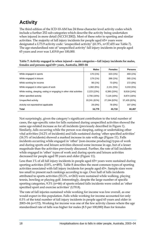### <span id="page-27-0"></span>**Activity**

The third edition of the ICD-10-AM has 24 three-character level activity codes which include a further 252 sub-categories which describe the activity being undertaken when injured in more detail (NCCH 2002). Most of these refer to sporting and similar activities. The majority of fall injury incidents for people aged 65+ years were designated a U73.9 activity code: 'unspecified activity' (61.9%, n=37,435 see Table 7). The age-standardised rate of 'unspecified activity' fall injury incidents in people aged 65 years and over was 1,419.8 per 100,000.

| $r_{\rm{c}}$ remares and persons aged $\omega_{\rm{c}}$ $r_{\rm{c}}$ reals, Australia, 2009-04 |              |                |                |
|------------------------------------------------------------------------------------------------|--------------|----------------|----------------|
|                                                                                                | <b>Males</b> | <b>Females</b> | <b>Persons</b> |
| While engaged in sports                                                                        | 170 (1%)     | 323 (1%)       | 493 (1%)       |
| While engaged in leisure                                                                       | 179 (1%)     | 386 (1%)       | 565 (1%)       |
| While working for income                                                                       | 99 (1%)      | 73 (0%)        | 172 (0%)       |
| While engaged in other types of work                                                           | 1,082 (6%)   | 2,151 (5%)     | 3,233(5%)      |
| While resting, sleeping, eating or engaging in other vital activities                          | 2,223 (13%)  | 6,395 (15%)    | 8,618 (14%)    |
| Other specified activity                                                                       | 2,756 (16%)  | 7,118 (16%)    | 9,874 (16%)    |
| Unspecified activity                                                                           | 10,241 (61%) | 27,194 (62%)   | 37,435 (62%)   |
| Activity not reported/not applicable                                                           | 29 (0%)      | 78 (0%)        | 107 (0%)       |
| <b>Total</b>                                                                                   | 16,779       | 43,718         | 60,497         |

| Table 7: Activity engaged in when injured – main categories – fall injury incidents for males, |
|------------------------------------------------------------------------------------------------|
| females and persons aged 65+ years, Australia, 2003–04                                         |

Not surprisingly, given the category's significant contribution to the total number of cases, the age-specific rates for falls sustained during unspecified activities showed the same age-related increase as for all incidents (previously described in Figure 1). Similarly, falls occurring while the person was sleeping, eating or undertaking other vital activities (14.2% of incidents) and falls sustained during 'other specified activities' (16.3% of incidents) showed a marked increase in rate with age (Figure 11). Falls incidents occurring while engaged in 'other' (non-income producing) types of work and during sports and leisure activities showed some increase in age, but of a lesser magnitude than the activities previously discussed. Further, the rate of fall incidents while engaged in 'other' types of work and during sports and leisure activities decreased for people aged 95 years and older (Figure 11).

Less than 1% of all fall injury incidents in people aged 65+ years were sustained during sporting activities (0.8%, n=493). Table 8 describes the most common types of sporting activities associated with fall injury incidents for people aged 65+. Sample sizes were too small to present such rankings according to age. Over half of falls incidents attributed to sports activities (53.3%, n=263) were sustained while walking, playing tennis, bowling or playing golf. Interestingly, despite the large number of specific sporting categories, 9.3% (n=46) of sports-related falls incidents were coded as 'other specified sport and exercise activities' (U70.8).

The rate of fall injuries sustained while working for income was low overall, as one would expect in this population. Falls while working for income accounted for only 0.3% of the total number of fall injury incidents in people aged 65 years and older in 2003–04 (n=172). Working for income was one of the few activity classes where the age standardised rate of falls was higher for males (8.5 per 100,000) than for females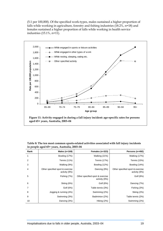(5.1 per 100,000). Of the specified work-types, males sustained a higher proportion of falls while working in agriculture, forestry and fishing industries (18.2%, n=18) and females sustained a higher proportion of falls while working in health service industries (15.1%, n=11).



**aged 65+ years, Australia, 2003–04** 

| Rank           | Males ( $n=169$ )                                 | Females (n=323)                                   | Persons (n=492)                                   |
|----------------|---------------------------------------------------|---------------------------------------------------|---------------------------------------------------|
| 1              | Bowling (17%)                                     | Walking (21%)                                     | Walking (17%)                                     |
| $\overline{2}$ | <b>Tennis (11%)</b>                               | Tennis (17%)                                      | Tennis (15%)                                      |
| 3              | Walking (9%)                                      | Bowling (12%)                                     | Bowling (14%)                                     |
| 4              | Other specified sport & exercise<br>activity (9%) | Dancing (9%)                                      | Other specified sport & exercise<br>activity (9%) |
| 5              | Fishing (7%)                                      | Other specified sport & exercise<br>activity (9%) | Golf (8%)                                         |
| 6              | Skiing (6%)                                       | Golf (8%)                                         | Dancing (7%)                                      |
| 7              | Golf (6%)                                         | Table tennis (3%)                                 | Fishing (3%)                                      |
| 8              | Jogging & running (4%)                            | Swimming (2%)                                     | Skiing (2%)                                       |
| 9              | Swimming (3%)                                     | Badminton (2%)                                    | Table tennis (2%)                                 |
| 10             | Dancing (3%)                                      | Hiking (2%)                                       | Swimming (2%)                                     |

**Table 8: The ten most common sports-related activities associated with fall injury incidents in people aged 65+ years, Australia, 2003–04**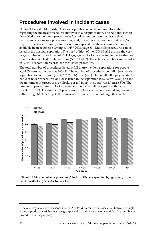#### <span id="page-29-0"></span>**Procedures involved in incident cases**

National Hospital Morbidity Database separation records contain information regarding the medical procedures involved in a hospitalisation. The National Health Data Dictionary defines a procedure as 'a clinical intervention that: is surgical in nature, and/or carries a procedural risk, and/or carries an anaesthetic risk, and/or requires specialised training, and/or requires special facilities or equipment only available in an acute care setting' (AIHW 2003, page 63). Multiple procedures can be listed in the hospital separation. The third edition of the ICD-10-AM groups the very large number of procedures into 1,424 aggregate 'blocks', according to the Australian Classification of Health Interventions (NCCH 2002). These block numbers are included in NHMD separation records, for each listed procedure.

The total number of procedures listed in fall injury incident separations for people aged 65 years and older was 163,471. The number of procedures per fall injury incident separation ranged from  $0$  (n=14,207, 23.5%) to 32 (n=1). Half of all fall injury incidents had 2 or fewer procedures or blocks listed in the separation (54.2%, n=32,786) and the mean number of procedures or blocks per fall injury incident was 2.7 (± 2.6 SD). The number of procedures or blocks per separation did not differ significantly by sex (t-test,  $p = 0.98$ ). The number of procedures or blocks per separation did significantly differ by age (ANOVA<sup>∗</sup> [,](#page-29-1) p<0.001) however differences were not large (Figure 12).



**and females 65+ years, Australia, 2003–04** 

 $\overline{a}$ 

<span id="page-29-1"></span><sup>∗</sup> The one-way analysis of variance model (ANOVA) examines the association between a single nominal predictor variable (e.g. age groups) and a continuous outcome variable (e.g. number of procedures per separation).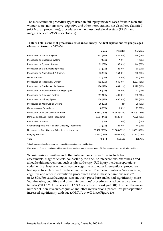The most common procedure types listed in fall injury incident cases for both men and women were 'non-invasive, cognitive and other interventions, not elsewhere classified' (67.9% of all procedures), procedures on the musculoskeletal system (15.8%) and imaging services (9.9%—see Table 9).

|                                                      | <b>Males</b> | <b>Females</b> | <b>Persons</b> |
|------------------------------------------------------|--------------|----------------|----------------|
| Procedures on Nervous System                         | 352 (1%)     | 446 (0%)       | 798 (0%)       |
| Procedures on Endocrine System                       | $*(0\%)$     | $*(0\%)$       | $*(0\%)$       |
| Procedures on Eye and Adnexa                         | 62 (0%)      | 82 (0%)        | 144 (0%)       |
| Procedures on Ear & Mastoid process                  | 37 (0%)      | 23 (0%)        | 60 (0%)        |
| Procedures on Nose, Mouth & Pharynx                  | 86 (0%)      | 154 (0%)       | 240 (0%)       |
| <b>Dental Services</b>                               | 11 (0%)      | 19 (0%)        | $30(0\%)$      |
| Procedures on Respiratory System                     | 762 (2%)     | 545 (0%)       | 1,307 (1%)     |
| Procedures on Cardiovascular System                  | 486 (1%)     | 634 (1%)       | 1,120 (1%)     |
| Procedures on Blood & Blood-Forming Organs           | 16 (0%)      | 26 (0%)        | 42 (0%)        |
| Procedures on Digestive System                       | 317 (1%)     | 491 (0%)       | 808 (0%)       |
| Procedures on Urinary System                         | 404 (1%)     | 466 (0%)       | 870 (1%)       |
| Procedures on Male Genital Organs                    | 25 (0%)      | <b>NA</b>      | 25 (0%)        |
| <b>Gynaecological Procedures</b>                     | $0(0\%)$     | 11 (0%)        | 11 (0%)        |
| Procedures on Musculoskeletal System                 | 5,851 (13%)  | 19,952 (17%)   | 25,803 (16%)   |
| Dermatological and Plastic Procedures                | 1,737 (4%)   | 3,138(3%)      | 4,875 (3%)     |
| Procedures on Breast                                 | $*(0\%)$     | $*(0\%)$       | $*(0\%)$       |
| Chemotherapeutic and Radiation Oncology Procedures   | 23 (0%)      | 21 (0%)        | 44 (0%)        |
| Non-invasive, Cognitive and Other Interventions, nec | 29,492 (65%) | 81,586 (69%)   | 111,078 (68%)  |
| <b>Imaging Services</b>                              | 5,687 (13%)  | 10,509 (9%)    | 16,196 (10%)   |
| <b>Total</b>                                         | 45,348       | 118,123        | 163,471        |

**Table 9: Total number of procedures listed in fall injury incident separations for people aged 65+ years, Australia, 2003–04** 

\* Small case numbers have been suppressed to prevent patient identification.

*Note:* Counts of procedures in this table exceed case numbers as there was a mean of 2.7 procedures listed per fall injury incident.

'Non-invasive, cognitive and other interventions' procedures include health assessments, diagnostic tests, counselling, therapeutic interventions, anaesthesia and allied health interventions such as physiotherapy. Fall injury incident separations coded with at least one 'non-invasive, cognitive and other interventions' procedure had up to 16 such procedures listed in the record. The mean number of 'non-invasive, cognitive and other interventions' procedures listed in these separations was 2.7 (± 1.6 SD). For cases having at least one such procedure, males had significantly more 'non-invasive, cognitive and other interventions' procedures listed per separation than females  $(2.8 \pm 1.7 \text{ SD}$  versus  $2.7 \pm 1.6 \text{ SD}$  respectively, t-test p<0.001). Further, the mean number of 'non-invasive, cognitive and other interventions' procedures per separation increased significantly with age (ANOVA p<0.001, see Figure 13).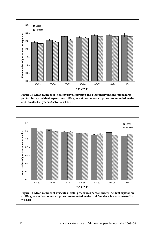



**(± SE), given at least one such procedure reported, males and females 65+ years, Australia, 2003–04**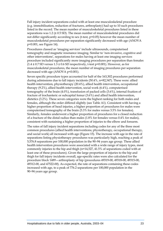Fall injury incident separations coded with at least one musculoskeletal procedure (e.g. immobilisation, reduction of fractures, arthroplasty) had up to 10 such procedures listed in the record. The mean number of musculoskeletal procedures listed in these separations was  $1.2$  ( $\pm$  0.5 SD). The mean number of musculoskeletal procedures did not differ significantly according to sex (t-test, p=0.05) however the mean number of musculoskeletal procedures per separation significantly decreased with age (ANOVA p<0.001, see Figure 14).

Procedures classed as 'imaging services' include ultrasounds, computerised tomography and magnetic resonance imaging. Similar to 'non-invasive, cognitive and other interventions', separations for males having at least one imaging services procedure included significantly more imaging procedures per separation than females  $(1.4 \pm 0.7$  SD versus  $1.3 \pm 0.6$  SD respectively, t-test p<0.001). However, as for musculoskeletal procedures, the mean number of imaging procedures per separation decreased with age (ANOVA p<0.001).

Seven specific procedure types accounted for half of the 163,302 procedures performed during admissions due to fall injury incidents (50.4%, n=82,347). These were: allied health intervention, physiotherapy (20.4%), allied health intervention, occupational therapy (9.2%), allied health intervention, social work (6.4%), computerised tomography of the brain (4.0%), transfusion of packed cells (3.6%), internal fixation of fracture of trochanteric or subcapital femur (3.6%) and allied health intervention, dietetics (3.2%). These seven categories were the highest ranking for both males and females, although the order differed slightly (see Table A1). Consistent with having a higher proportion of head injuries, a higher proportion of procedures for males were computerised tomography of the brain (5.3% for males versus 3.5% for females). Similarly, females underwent a higher proportion of procedures for a closed reduction of a fracture of the distal radius than males (1.8% for females versus 0.4% for males), consistent with sustaining a higher proportion of injuries to the elbow and forearm.

The rates of fall injury incident separations including codes for any of the three most common procedures (allied health interventions; physiotherapy, occupational therapy, and social work) all increased with age (Figure 15). The increase with age in the rate of separations listing physiotherapy procedures was particularly high, reaching a peak of 5,576.8 separations per 100,000 population in the 90–94 years age group. These allied health intervention procedures were associated with a wide range of injury types, most commonly injuries to the hip and thigh (n=14,527, 41.5% of separations coded with at least one of these procedures). Given the large proportion of injuries to the hip and thigh for fall injury incidents overall, age-specific rates were also calculated for the procedure block 1489—arthroplasty of hip (procedures 49319-00, 49318-00, 49315-00, 49312-00, and 47522-00). As expected, the rate of separations containing these codes increased with age, to a peak of 776.2 separations per 100,000 population in the 90–94 years age group.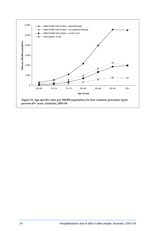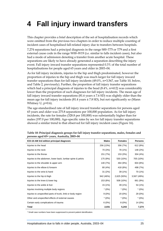## <span id="page-34-0"></span>**4 Fall injury inward transfers**

This chapter provides a brief description of the set of hospitalisation records which were omitted from the previous two chapters in order to reduce multiple counting of incident cases of hospitalised fall-related injury due to transfers between hospitals.

7,274 separations had a principal diagnosis in the range S00–T75 or T79 and a first external cause code in the range W00–W19 (i.e. similar to falls incident cases), but also had a mode of admission denoting a transfer from another acute hospital. These separations are likely to have already generated a separation describing the injury event. Fall injury inward transfer separations represented 0.3% of the total number of hospitalisations for people aged 65 years and older in 2003–04.

As for fall injury incidents, injuries to the hip and thigh predominated, however the proportion of injuries to the hip and thigh was much larger for fall injury inward transfer separations than for fall injury incidents (49.0%, n=3,567, see Table 10, below, and Table 2, previously). Further, the proportion of fall injury transfer separations which had a principal diagnosis of injuries to the head (8.4%, n=612) was considerably lower than the proportion of such diagnoses for fall injury incidents. The mean age of fall injury inward transfer separations  $(81.6 \text{ years} \pm 7.6 \text{ SD})$  was slightly older than the mean age for fall injury incidents  $(81.4 \text{ years} \pm 7.8 \text{ SD})$ , but not significantly so (Mann Whitney U, p=0.6).

The age-standardised rate of fall injury inward transfer separations for persons aged 65 years and older was 275.8 separations per 100,000 population. As for fall injury incidents, the rate for females (328.8 per 100,000) was substantially higher than for males (197.0 per 100,000). Age-specific rates by sex for fall injury transfer separations showed a similar trend to that observed for fall injury incident cases (Figure 16).

| ICD-10-AM 3rd edition principal diagnosis                   | <b>Males</b> | <b>Females</b> | <b>Persons</b> |
|-------------------------------------------------------------|--------------|----------------|----------------|
| Injuries to the head                                        | 256 (13%)    | 356 (7%)       | 612 (8%)       |
| Injuries to the neck                                        | 70 (3%)      | 78 (1%)        | 148 (2%)       |
| Injuries to the thorax                                      | 151 (7%)     | 153 (3%)       | 304 (4%)       |
| Injuries to the abdomen, lower back, lumbar spine & pelvis  | 175 (9%)     | 530 (10%)      | 705 (10%)      |
| Injuries to the shoulder & upper arm                        | 140 (7%)     | 464 (9%)       | 604 (8%)       |
| Injuries to the elbow & forearm                             | 80 (4%)      | 418 (8%)       | 498 (7%)       |
| Injuries to the wrist & hand                                | 31(2%)       | 39 (1%)        | 70 (1%)        |
| Injuries to the hip & thigh                                 | 942 (46%)    | 2,625 (50%)    | 3,567 (49%)    |
| Injuries to the knee & lower leg                            | 153 (8%)     | 508 (10%)      | 661 (9%)       |
| Injuries to the ankle & foot                                | 15 (1%)      | 39 (1%)        | 54 (1%)        |
| Injuries involving multiple body regions                    | $*(0\%)$     | $*(0\%)$       | $*(0%)$        |
| Injuries to unspecified parts of trunk, limb or body region | $9(0\%)$     | 20 (0%)        | 29 (0%)        |
| Other and unspecified effects of external causes            | $*(0\%)$     | $*(0\%)$       | $*(0\%)$       |
| Certain early complications of trauma                       | $6(0\%)$     | 8(0%)          | 14 (0%)        |
| <b>Total</b>                                                | 2,031        | 5,243          | 7,274          |

**Table 10: Principal diagnosis groups for fall injury transfer separations, males, females and persons aged 65+ years, Australia, 2003–04** 

\* Small case numbers have been suppressed to prevent patient identification.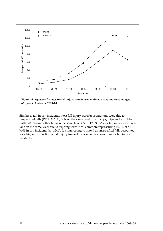

Similar to fall injury incidents, most fall injury transfer separations were due to unspecified falls (W19, 38.1%), falls on the same level due to slips, trips and stumbles (W01, 28.5%) and other falls on the same level (W18, 17.6%). As for fall injury incidents, falls on the same level due to tripping were most common, representing 60.0% of all W01 injury incidents (n=1,244). It is interesting to note that unspecified falls accounted for a higher proportion of fall injury inward transfer separations than for fall injury incidents.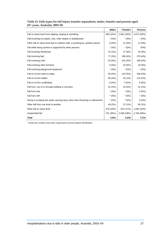| Table 11: Falls types for fall injury transfer separations, males, females and persons aged |  |
|---------------------------------------------------------------------------------------------|--|
| 65+ years, Australia, 2003–04                                                               |  |

|                                                                               | <b>Males</b> | <b>Females</b> | <b>Persons</b> |
|-------------------------------------------------------------------------------|--------------|----------------|----------------|
| Fall on same level from slipping, tripping & stumbling                        | 492 (24%)    | 1,581 (30%)    | 2,073 (28%)    |
| Fall involving ice-skates, skis, roller-skates or skateboards                 | $*(0\%)$     | $*(0\%)$       | $*(0%)$        |
| Other fall on same level due to collision with, or pushing by, another person | 6(0%)        | 11 (0%)        | 17 (0%)        |
| Fall while being carried or supported by other persons                        | $*(0\%)$     | $*$ (0%)       | $*(0%)$        |
| Fall involving wheelchair                                                     | 15 (1%)      | 17 (0%)        | 32 (0%)        |
| Fall involving bed                                                            | 77 (4%)      | 199 (4%)       | 276 (4%)       |
| Fall involving chair                                                          | 54 (3%)      | 144 (3%)       | 198 (3%)       |
| Fall involving other furniture                                                | $9(0\%)$     | 10 (0%)        | 19 (0%)        |
| Fall involving playground equipment                                           | $*(0\%)$     | $*(0\%)$       | $*(0%)$        |
| Fall on & from stairs & steps                                                 | 93 (5%)      | 243 (5%)       | 336 (5%)       |
| Fall on & from ladder                                                         | 86 (4%)      | 32 (1%)        | 118 (2%)       |
| Fall on & from scaffolding                                                    | 6(0%)        | $0(0\%)$       | $6(0\%)$       |
| Fall from, out of or through building or structure                            | 31(2%)       | $10(0\%)$      | 41 (1%)        |
| Fall from tree                                                                | $*(0\%)$     | $*(0\%)$       | 5(0%)          |
| Fall from cliff                                                               | $*(0\%)$     | $*(0\%)$       | $*(0\%)$       |
| Diving or jumping into water causing injury other than drowning or submersion | $*(0%)$      | $*(0\%)$       | 5(0%)          |
| Other fall from one level to another                                          | 48 (2%)      | 37 (1%)        | 85 (1%)        |
| Other fall on same level                                                      | 370 (18%)    | 913 (17%)      | 1,283 (18%)    |
| Unspecified fall                                                              | 731 (36%)    | 2,038 (39%)    | 2,769 (38%)    |
| <b>Total</b>                                                                  | 2,031        | 5,243          | 7,274          |

\* Small case numbers have been suppressed to prevent patient identification.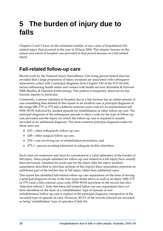# **5 The burden of injury due to falls**

Chapters 2 and 3 focus on the estimated number of new cases of hospitalised fallrelated injury that occurred in the year to 30 June 2004. This chapter focuses on the nature and extent of hospital care provided in that period because of a fall-related injury.

## **Fall-related follow-up care**

Recent work by the National Injury Surveillance Unit using person-linked data has revealed that a large proportion of injury incidents are associated with subsequent separations coded with a principal diagnosis from Chapter XXI of the ICD-10-AM, factors influencing health status and contact with health services (Kreisfeld & Newson 2006; Bradley & Harrison forthcoming). This pattern is frequently observed for hip fracture injuries in particular.

Commonly, a person admitted to hospital due to a hip fracture has an initial episode of care resembling that defined in this report as an incident case (a principal diagnosis in the range S00–T75 or T79 and a leftmost external cause code for an unintentional fall, W00–W19), followed by another episode for rehabilitation or other follow-up care. The principal diagnosis of the subsequent episode is often a code for the type of follow-up care provided and the injury for which the follow-up care is required is usually recorded as an additional diagnosis. The most common principal diagnosis codes for these cases are;

- Z47 other orthopaedic follow-up care,
- Z48 other surgical follow-up care,
- Z50—care involving use of rehabilitation procedures, and
- Z75.1—person awaiting admission to adequate facility elsewhere.

Such cases are numerous and must be considered in a valid estimation of the burden of fall injury. Since people admitted for follow-up care related to a fall injury have usually been previously admitted for acute care for the injury (like the injury incident separations described in previous sections of this report) these separations represent an additional part of the burden due to fall injury rather than additional cases.

This report has identified fall-related follow-up care separations on the basis of having a principal diagnosis of one of the four types listed above as well as an injury (S00–T75 or T79 ) and a falls external cause code (W00–W19) anywhere in the record (see also 'Selection criteria'). Note that these fall-related follow-up care separations have *not* been identified on the basis of a 'rehabilitation' type of episode of care (rehabilitation/follow-up care is explicit in the principal diagnosis, irrespective of the recorded type of episode of care). However, 89.2% of the records selected are recorded as being 'rehabilitation' type of episodes (Table 16).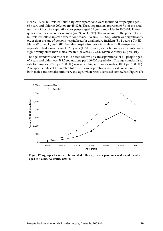Nearly 16,000 fall-related follow-up care separations were identified for people aged 65 years and older in 2003–04 (n=15,825). These separations represent 0.7% of the total number of hospital separations for people aged 65 years and older in 2003–04. Threequarters of these were for women (74.2%, n=11,747). The mean age of the person for a fall-related follow-up care separation was 82.4 years  $(\pm 7.1 \text{ SD})$ , which was significantly older than the age of persons hospitalised for a fall injury incident  $(81.4 \text{ years} \pm 7.8 \text{ SD})$ Mann Whitney U, p<0.001). Females hospitalised for a fall-related follow-up care separation had a mean age of 82.8 years  $(\pm 7.0 \text{ SD})$  and, as for fall injury incidents, were significantly older than males (mean  $81.0$  years  $\pm$  7.2 SD Mann Whitney U, p<0.001).

The age-standardised rate of fall-related follow-up care separations for all people aged 65 years and older was 598.5 separations per 100,000 population. The age-standardised rate for females (727.9 per 100,000) was much higher than for males (400.4 per 100,000). Age-specific rates of fall-related follow-up care separations increased considerably for both males and females until very old age, when rates decreased somewhat (Figure 17).

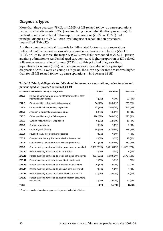## **Diagnosis types**

More than three quarters (79.4%, n=12,565) of fall-related follow-up care separations had a principal diagnosis of Z50 (care involving use of rehabilitation procedures). In particular, most fall-related follow-up care separations (71.8%, n=11,370) had a principal diagnosis of Z50.9—care involving use of rehabilitation procedure, unspecified (Table 12).

Another common principal diagnosis for fall-related follow-up care separations indicated that the person was awaiting admission to another care facility (Z75.1x: 11.1%, n=1,754). Of these, the majority (89.9%, n=1,576) were coded as Z75.11—person awaiting admission to residential aged care service. A higher proportion of fall-related follow-up care separations for men (12.1%) had this principal diagnosis than separations for women (9.2%). While some separations coded with a principal diagnosis of Z75.11 were as young as 65 years, the mean age for these cases was higher than for all fall-related follow-up care separations  $-84.4$  years  $\pm 6.8$  SD

| Table 12: Principal diagnosis for fall-related follow-up care separations, males, females and |  |  |  |  |  |
|-----------------------------------------------------------------------------------------------|--|--|--|--|--|
| persons aged 65+ years, Australia, 2003-04                                                    |  |  |  |  |  |
|                                                                                               |  |  |  |  |  |

|                                                                                    | ICD-10-AM 3rd edition principal diagnosis                                              | <b>Males</b> | <b>Persons</b> |              |
|------------------------------------------------------------------------------------|----------------------------------------------------------------------------------------|--------------|----------------|--------------|
| Z47.0                                                                              | Follow-up care involving removal of fracture plate & other<br>internal fixation device | $*(0%)$      | $*(0\%)$       | 20 (0%)      |
| Z47.8<br>Other specified orthopaedic follow-up care                                |                                                                                        | 50 (1%)      | 235 (2%)       | 285 (2%)     |
| Z47.9                                                                              | Orthopaedic follow-up care, unspecified                                                | 53 (1%)      | 190 (2%)       | 243 (2%)     |
| Z48.0                                                                              | Attention to surgical dressings & sutures                                              | 5(0%)        | 10 (0%)        | 15 (0%)      |
| Z48.8                                                                              | Other specified surgical follow-up care                                                | 226 (6%)     | 700 (6%)       | 926 (6%)     |
| Z48.9                                                                              | Surgical follow-up care, unspecified                                                   | 5(0%)        | 12 (0%)        | 17 (0%)      |
| Z50.0                                                                              | Cardiac rehabilitation                                                                 | $*$ (0%)     | $*$ (0%)       | 5(0%)        |
| Z50.1                                                                              | Other physical therapy                                                                 | 95 (2%)      | 523 (4%)       | 618 (4%)     |
| Z50.4                                                                              | Psychotherapy, not elsewhere classified                                                | $*(0\%)$     | $*$ (0%)       | $*(0%)$      |
| Z50.7                                                                              | Occupational therapy & vocational rehabilitation, nec                                  | $*(0\%)$     | $*(0\%)$       | 12 (0%)      |
| Z50.8                                                                              | Care involving use of other rehabilitation procedures                                  | 123 (3%)     | 434 (4%)       | 557 (4%)     |
| Z50.9                                                                              | Care involving use of rehabilitation procedure, unspecified                            | 2,969 (73%)  | 8,401 (72%)    | 11,370 (72%) |
| Z75.10                                                                             | Person awaiting admission to acute hospital                                            | $*$ (0%)     | $*$ (0%)       | $9(0\%)$     |
| Z75.11                                                                             | Person awaiting admission to residential aged care service                             | 493 (12%)    | 1,083 (9%)     | 1,576 (10%)  |
| Z75.12                                                                             | Person awaiting admission to psychiatric facility/unit                                 | $*$ (0%)     | $*$ (0%)       | $*(0\%)$     |
| Z75.13                                                                             | Person awaiting admission to rehabilitation facility/unit                              | 25 (1%)      | 72 (1%)        | 97 (1%)      |
| Z75.14                                                                             | Person awaiting admission to palliative care facility/unit                             |              | $*(0\%)$       | $*(0\%)$     |
| Z75.18                                                                             | Person awaiting admission to other health care facility                                |              | 36 (0%)        | 48 (0%)      |
| Z75.19<br>Person awaiting admission to adequate facility elsewhere,<br>unspecified |                                                                                        | 7(0%)        | 14 (0%)        | 21 (0%)      |
| <b>Total</b>                                                                       |                                                                                        | 4,078        | 11,747         | 15,825       |

\* Small case numbers have been suppressed to prevent patient identification.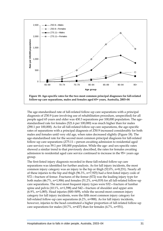

The age-standardised rate of fall-related follow-up care separations with a principal diagnosis of Z50.9 (care involving use of rehabilitation procedure, unspecified) for all people aged 65 years and older was 430.3 separations per 100,000 population. The agestandardised rate for females (521.6 per 100,000) was much higher than for males (290.1 per 100,000). As for all fall-related follow-up care separations, the age-specific rates of separations with a principal diagnosis of Z50.9 increased considerably for both males and females until very old age, when rates decreased slightly (Figure 18). The age-standardised rate for the second most common principal diagnosis for fall-related follow-up care separations (Z75.11—person awaiting admission to residential aged care service) was 59.1 per 100,000 population. While the age- and sex-specific rates showed a similar trend to that previously described, the rates for females awaiting admission to residential aged care service continued to increase in the 95+ years age group.

The first-listed injury diagnosis recorded in these fall-related follow-up care separations was identified for further analysis. As for fall injury incidents, the most common injury category was an injury to the hip or thigh (52.0%, n=8,231). Nearly all of these injuries to the hip and thigh (96.3%, n=7,925) had a first-listed injury code of S72—fracture of femur. Fractures of the femur (S72) was the leading injury type for both males (46.7%, n=1,906) and females (51.2%, n=6,019) for all fall-related follow-up care separations. The next most frequent injury types were S32—fracture of lumbar spine and pelvis (10.1%, n=1,598) and S42—fracture of shoulder and upper arm (6.9%, n=1,085). Head injuries (S00–S09), while the second-most common injury category for fall injury incidents, were the fifth most common injury category for fall-related follow-up care separations (6.2%, n=988). As for fall injury incidents, however, injuries to the head constituted a higher proportion of fall-related follow-up care separations for males (10.7%, n=437) than for females (4.7%, n=551).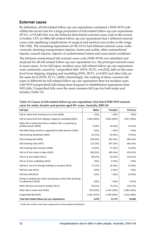### **External cause**

By definition, all fall-related follow-up care separations contained a W00–W19 code within the record and for a large proportion of fall-related follow-up care separations (97.6%, n=15,443) this was the leftmost (first-listed) external cause code in the record. A further 1.8% (n=286) fall-related follow-up care separations had a leftmost external cause code signifying complications of surgical and medical care (codes in the range Y40–Y84). The remaining separations (n=96, 0.6%) had leftmost external cause codes variously denoting transportation injuries, burns and scalds, other unintentional injuries, assault injuries, injuries of undetermined intent and nosocomial conditions.

The leftmost unintentional fall external cause code (W00–W19) was identified and analysed for all fall-related follow-up care separations (i.e. the principal external cause in most cases). As for fall injury incident cases, fall-related follow-up care separations were commonly caused by 'unspecified falls' (W19, 39.2%, n=6,210), falls on the same level from slipping, tripping and stumbling (W01, 28.9%, n=4,567) and other falls on the same level (W18, 18.1%, 2,860). Interestingly, the ranking of these common fall types is different for fall-related follow-up care separations than for incident cases, with W19 (unspecified) falls being more frequent in rehabilitation separations than W01 falls. Unspecified falls were the most common fall type for both males and females (Table 13).

| <b>Fall type</b>                                                                       | <b>Males</b> | <b>Females</b> | <b>Persons</b> |
|----------------------------------------------------------------------------------------|--------------|----------------|----------------|
| Fall on same level involving ice & snow (W00)                                          | $*(0\%)$     | $*(0\%)$       | $*(0\%)$       |
| Fall on same level from slipping, tripping & stumbling (W01)                           | 1,064 (26%)  | 3,503 (30%)    | 4,567 (29%)    |
| Other fall on same level due to collision with, or pushing by,<br>another person (W03) | $9(0\%)$     | 23 (0%)        | 32 (0%)        |
| Fall while being carried or supported by other persons (W04)                           | $*(0%)$      | $*(0\%)$       | $*(0%)$        |
| Fall involving wheelchair (W05)                                                        | 44 (1%)      | 34 (0%)        | 78 (0%)        |
| Fall involving bed (W06)                                                               | 206 (5%)     | 462 (4%)       | 668 (4%)       |
| Fall involving chair (W07)                                                             | 113 (3%)     | 287 (2%)       | 400 (3%)       |
| Fall involving other furniture (W08)                                                   | 15 (0%)      | 27 (0%)        | 42 (0%)        |
| Fall on & from stairs & steps (W10)                                                    | 188 (5%)     | 465 (4%)       | 653 (4%)       |
| Fall on & from ladder (W11)                                                            | 89 (2%)      | 44 (0%)        | 133 (1%)       |
| Fall on & from scaffolding (W12)                                                       | $*(0\%)$     | $0(0\%)$       | $*(0\%)$       |
| Fall from, out of or through building or structure (W13)                               | 27 (1%)      | $10(0\%)$      | 37 (0%)        |
| Fall from tree (W14)                                                                   | $*(0\%)$     | $0(0\%)$       | $*(0\%)$       |
| Fall from cliff (W15)                                                                  | $*(0%)$      | $*(0\%)$       | $10(0\%)$      |
| Diving or jumping into water causing injury other than drowning<br>or submersion (W16) | $*(0%)$      | $*(0%)$        | 6(0%)          |
| Other fall from one level to another (W17)                                             | 50 (1%)      | 70 (1%)        | 120 (1%)       |
| Other fall on same level (W18)                                                         | 756 (19%)    | 2,104 (18%)    | 2,860 (18%)    |
| Unspecified fall (W19)                                                                 | 1,501 (37%)  | 4,709 (40%)    | 6,210 (39%)    |
| Total fall-related follow-up care separations                                          | 4,078        | 11,747         | 15,825         |

| Table 13: Causes of fall-related follow-up care separations: first listed W00–W19 external |  |
|--------------------------------------------------------------------------------------------|--|
| cause for males, females and persons aged 65+ years, Australia, 2003-04                    |  |

\* Small case numbers have been suppressed to prevent patient identification.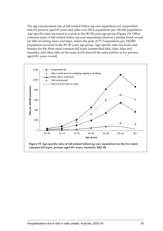The age-standardised rate of fall-related follow-up care separations for unspecified falls for persons aged 65 years and older was 234.4 separations per 100,000 population. Age-specific rates increased to a peak in the 90–94 years age group (Figure 19). Other common types of fall-related follow-up care separations showed a similar trend, except for falls involving stairs and steps, where the peak of 77.3 separations per 100,000 population occurred in the 85–90 years age group. Age-specific rates for males and females for the three most common fall types (unspecified falls, slips, trips and stumbles, and other falls on the same level) showed the same pattern as for persons aged 65+ years overall.



**common fall types, persons aged 65+ years, Australia, 2003–04**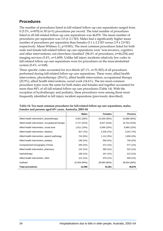### **Procedures**

The number of procedures listed in fall-related follow-up care separations ranged from 0 (5.5%, n=870) to 30 (n=1) procedures per record. The total number of procedures listed in all fall-related follow-up care separations was 46,876. The mean number of procedures per separation was 3.0 (± 2.1 SD). Males had a significantly higher mean number of procedures per separation than females  $(3.1 \pm 2.2 \text{ SD} \text{ versus } 2.9 \pm 2.0 \text{ SD}$ , respectively. Mann Whitney U, p<0.001). The most common procedures listed for both male and female fall-related follow-up care separations were 'non-invasive, cognitive and other interventions, not elsewhere classified' (94.4% of procedures, n=44,234) and imaging services (3.4%, n=1,609). Unlike fall injury incidents relatively few codes in fall-related follow-up care separations were for procedures on the musculoskeletal system (0.4%, n=168).

Three specific codes accounted for two-thirds (67.1%, n=31,503) of all procedures performed during fall-related follow-up care separations. These were; allied health intervention, physiotherapy (29.6%), allied health intervention, occupational therapy (22.9%), allied health interventions, social work (14.6%). The ten most-common procedure types were the same for both males and females and together accounted for more than 84% of all fall-related follow-up care procedures (Table 14). With the exception of hydrotherapy and podiatry, these procedures were among those most frequently identified in fall injury incident separations (previously described).

|                                                  | <b>Males</b> | <b>Females</b> | <b>Persons</b> |
|--------------------------------------------------|--------------|----------------|----------------|
| Allied health intervention, physiotherapy        | 3,561(28%)   | 10,328 (30%)   | 13,889 (30%)   |
| Allied health intervention, occupational therapy | 2,727 (22%)  | 8,027 (23%)    | 10,754 (23%)   |
| Allied health intervention, social work          | 1,811 (14%)  | 5,049 (15%)    | 6,860 (15%)    |
| Allied health intervention, dietetics            | 917 (7%)     | 2,430 (7%)     | 3,347 (7%)     |
| Allied health intervention, speech pathology     | 724 (6%)     | 1,112(3%)      | 1,836 (4%)     |
| Allied health intervention, podiatry             | 190 (2%)     | 556 (2%)       | 746 (2%)       |
| Computerised tomography of brain                 | 205 (2%)     | 372 (1%)       | 577 (1%)       |
| Allied health intervention, pharmacy             | 142 (1%)     | 390 (1%)       | 532 (1%)       |
| Hydrotherapy                                     | 166 (1%)     | 347 (1%)       | 513 (1%)       |
| Allied health intervention, other                | 121 (1%)     | 379 (1%)       | 500 (1%)       |
| Subtotal                                         | 10,564 (84%) | 28,990 (85%)   | 39,554 (84%)   |
| <b>Total procedures</b>                          | 12,595       | 34,281         | 46,876         |

| Table 14: Ten most common procedures for fall-related follow-up care separations, males, |
|------------------------------------------------------------------------------------------|
| females and persons aged 65+ years, Australia, 2003-04                                   |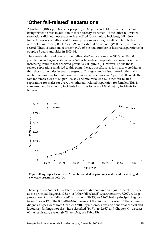## **'Other fall-related' separations**

A further 18,048 separations for people aged 65 years and older were identified as being related to falls in addition to those already discussed. These 'other fall-related' separations did not meet the criteria specified for fall injury incidents, fall injury inward transfers or fall-related follow-up care separations, but did contain both a relevant injury code (S00–T75 or T79 ) and external cause code (W00–W19) within the record. These separations represent 0.8% of the total number of hospital separations for people 65 years and older in 2003–04.

The age-standardised rate of 'other fall-related' separations was 685.5 per 100,000 population and age-specific rates of 'other fall-related' separations showed a similar increasing trend to that observed previously (Figure 20). However, unlike the fallrelated separations analysed to this point, the age-specific rates for males were higher than those for females in every age group. The age-standardised rate of 'other fallrelated' separations for males aged 65 years and older was 749.6 per 100,000 while the rate for females was 644.6 per 100,000. The rate-ratio was 1.2 'other fall-related' separations for males for every 1.0 'other fall-related' separation for females. This is compared to 0.6 fall injury incidents for males for every 1.0 fall injury incidents for females.



The majority of 'other fall-related' separations did not have an injury code of any type as the principal diagnosis (95.4% of 'other fall-related' separations, n=17,209). A large proportion of 'other fall-related' separations (20.9%, n=3,765) had a principal diagnosis from Chapter IX of the ICD-10-AM—diseases of the circulatory system. Other common diagnosis types were from Chapter XVIII—symptoms, signs and abnormal clinical and laboratory findings, not elsewhere classified  $(14.7\%$ , n=2,662) and Chapter X-diseases of the respiratory system (9.7%, n=1,748, see Table 15).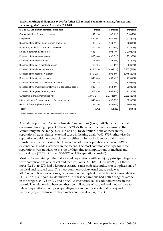| ICD-10-AM 3rd edition principal diagnosis                  | <b>Males</b> | <b>Females</b> | <b>Persons</b> |
|------------------------------------------------------------|--------------|----------------|----------------|
| Certain infectious & parasitic diseases                    | 149 (2%)     | 167 (2%)       | 316 (2%)       |
| Neoplasms                                                  | 753 (10%)    | 569 (6%)       | 1,322 (7%)     |
| Diseases of the blood, blood-forming organs, etc.          | 89 (1%)      | 149 (1%)       | 238 (1%)       |
| Endocrine, nutritional & metabolic diseases                | 306 (4%)     | 417 (4%)       | 723 (4%)       |
| Mental & behavioural disorders                             | 536 (7%)     | 694 (7%)       | 1,230 (7%)     |
| Diseases of the nervous system                             | 480 (6%)     | 492 (5%)       | 972 (5%)       |
| Diseases of the eye & adnexa                               | 17 (0%)      | 24 (0%)        | 41 (0%)        |
| Diseases of the ear & mastoid process                      | 19 (0%)      | 41 (0%)        | 60 (0%)        |
| Diseases of the circulatory system                         | 1,619 (21%)  | 2,146 (21%)    | 3,765 (21%)    |
| Diseases of the respiratory system                         | 946 (12%)    | 802 (8%)       | 1,748 (10%)    |
| Diseases of the digestive system                           | 346 (4%)     | 433 (4%)       | 779 (4%)       |
| Diseases of the skin & subcutaneous tissue                 | 198 (3%)     | 331 (3%)       | 529 (3%)       |
| Diseases of the musculoskeletal system & connective tissue | 329 (4%)     | 664 (6%)       | 993 (6%)       |
| Diseases of the genitourinary system                       | 323 (4%)     | 609 (6%)       | 932 (5%)       |
| Symptoms, signs, abnormalities nec                         | 1,085 (14%)  | 1,577 (15%)    | 2,662 (15%)    |
| Injury, poisoning & consequences of external causes        | 342 (4%)     | 497 (5%)       | 839 (5%)       |
| Factors influencing health status                          | 248 (3%)     | 648 (6%)       | 896 (5%)       |
| Total <sup>t</sup>                                         | 7,786        | 10,262         | 18,048         |

**Table 15: Principal diagnosis types for 'other fall-related' separations, males, females and persons aged 65+ years, Australia, 2003–04** 

† Totals include 3 separations from categories too small to publish.

A small proportion of 'other fall-related' separations (4.6%, n=839) had a principal diagnosis denoting injury. Of these, 63.2% (530) had a principal diagnosis on the 'community injury' range (S00–T75 or T79). By definition, none of these injury separations had a leftmost external cause indicating a fall (W00–W19, otherwise the separation would have been classed as either an injury incident or a falls inward transfer as already discussed). However, all of these separations had a W00–W19 external cause code elsewhere in the record. The most common case type for these separations was an injury to the hip or thigh due to complications of medical and surgical care (27.5% of 'other' S00–T75 or T79 separations, n=146).

Most of the remaining 'other fall-related' separations with an injury principal diagnosis were complications of surgical and medical care (T80–T88; 34.9%, n=293). Of these, most (92.2%, n=270) had a leftmost external cause code also indicating complications of medical and surgical care. The most common such external cause code was Y83.1—complications of a surgical operation the implant of an artificial internal device (49.1%, n=144). Again, by definition all of these separations had both a diagnosis code in the range S00–T75 or T79 and a W00–W19 external cause code somewhere in the record. The relationship between these complications of surgical and medical care fallrelated separations (both principal diagnosis and leftmost external cause) and increasing age was linear for both males and females (Figure 21).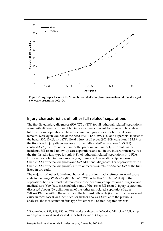

### **Injury characteristics of 'other fall-related' separations**

The first-listed injury diagnoses (S00–T75 or T79) for all 'other fall-related' separations were quite different to those of fall injury incidents, inward transfers and fall-related follow-up care separations. The most common injury codes, for both males and females, were open wounds of the head (S01, 14.5%, n=2,608) and superficial injuries to the head (S00, 10.4%, n=1,874). Head injury of all types (S00–S09) constituted 32.1% of the first-listed injury diagnoses for all 'other fall-related' separations (n=5,791). In contrast, S72 (fractures of the femur), the predominant injury type for fall injury incidents, fall-related follow-up care separations and fall injury inward transfers, was the first-listed injury type for only 8.4% of 'other fall-related' separations (n=1,523). However, as noted in previous analyses, there is a close relationship between Chapter XXI principal diagnoses and S72 additional diagnoses. For separations with a Chapter XXI principal diagnosis<sup>\*</sup>[,](#page-46-0) a third of records (32.9%, n=295) had S72 as the firstlisted injury code.

The majority of 'other fall-related' hospital separations had a leftmost external cause code in the range W00–W19 (86.8%, n=15,674). A further 10.0% (n=1,808) of the separations had a leftmost external cause code denoting complications of surgical and medical care (Y40–Y84, these include some of the 'other fall-related' injury separations discussed above). By definition, all of the 'other fall-related' separations had a W00–W19 code within the record and the leftmost falls code (i.e. the principal external cause in most cases) was identified for further analysis. Similar to the previous analyses, the most common falls type for 'other fall-related' separations was

 $\overline{a}$ 

<span id="page-46-0"></span><sup>∗</sup> *Note:* excludes Z47, Z48, Z50 and Z75.1 codes as these are defined as falls-related follow-up care separations and are discussed in the first section of Chapter 5.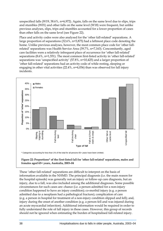unspecified falls (W19, 38.6%, n=6,972). Again, falls on the same level due to slips, trips and stumbles (W01) and other falls on the same level (W18) were frequent, but unlike previous analyses, slips, trips and stumbles accounted for a lower proportion of cases than other falls on the same level (see Figure 22).

Place and activity codes were also analysed for the 'other fall-related' separations. A large proportion of separations (32.6%, n=5,875) had a leftmost place code denoting the home. Unlike previous analyses, however, the most common place code for 'other fallrelated' separations was Health Service Area (39.7%, n=7,163). Concomitantly, aged care facilities were a relatively infrequent place of occurrence for 'other fall-related' separations (8.6%, n=1,551). The most common first-listed activity in 'other fall-related' separations was 'unspecified activity' (57.8%, n=10,425) and a larger proportion of 'other fall-related' separations had an activity code of while resting, sleeping or engaging in other vital activities (22.4%, n=4,036) than was observed for fall injury incidents.



#### **Figure 22: Proportions\* of the first-listed fall for 'other fall-related' separations, males and females aged 65+ years, Australia, 2003–04**

These 'other fall-related' separations are difficult to interpret on the basis of information available in the NHMD. The principal diagnosis (i.e. the main reason for the hospital episode) was generally not an injury or follow-up care diagnosis, but an injury, due to a fall, was also included among the additional diagnoses. Some possible circumstances for such cases are: chance (i.e. a person admitted for a non-injury condition happened to have an injury condition); co-morbid injury (e.g. a person admitted due to a neoplasm had a pathological fracture); complication of care (e.g. a person in hospital for treatment of a non-injury condition slipped and fell); and, injury during the onset of another condition (e.g. a person fell and was injured during an acute myocardial infarction). Additional information would be required in order to fully understand the role of fall injury in these cases. However, this group of records should not be ignored when estimating the burden of hospitalised fall-related injury.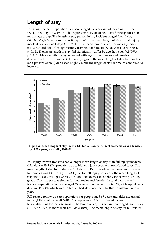# **Length of stay**

Fall injury incident separations for people aged 65 years and older accounted for 487,401 bed-days in 2003–04. This represents 4.2% of all bed-days for hospitalisations for this age group. The length of stay per fall injury incident ranged from 1 day  $(32.4\% n=19,605)$  to more than 600 days (n=1). The mean length of stay for fall injury incident cases was 8.1 days (± 11.2 SD). The mean length of stay for males (7.9 days ± 11.3 SD) did not differ significantly from that of females (8.1 days ± 11.2 SD t-test, p=0.12). The mean length of stay did significantly differ by age, however (ANOVA, p<0.001). Mean length of stay increased with age for both males and females (Figure 23). However, in the 95+ years age group the mean length of stay for females (and persons overall) decreased slightly while the length of stay for males continued to increase.



Fall injury inward transfers had a longer mean length of stay than fall injury incidents (13.4 days ± 15.5 SD), probably due to higher injury severity in transferred cases. The mean length of stay for males was 13.0 days (± 15.7 SD) while the mean length of stay for females was 13.5 days (± 15.4 SD). As for fall injury incidents, the mean length of stay increased until ages 90–94 years and then decreased slightly in the 95+ years age group. This pattern was similar for both males and females. In total, falls inward transfer separations in people aged 65 years and older contributed 97,267 hospital beddays in 2003–04, which was 0.8% of all bed-days occupied by this population in this year.

Fall-related follow-up care separations for people aged 65 years and older accounted for 340,946 bed-days in 2003–04. This represents 3.0% of all bed-days for hospitalisations for this age group. The length of stay per separation ranged from 1 day  $(10.9\% \text{ n=1,725})$  to more than 1,400 days  $(\text{n=1})$ . The mean length of stay for fall-related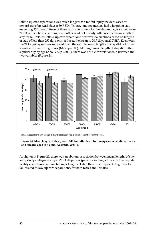follow-up care separations was much longer than for fall injury incident cases or inward transfers (21.5 days ± 30.7 SD). Twenty-one separations had a length of stay exceeding 250 days. Fifteen of these separations were for females and ages ranged from 71–93 years. These very long stay outliers did not unduly influence the mean length of stay for fall-related follow-up care separations however; calculations based on lengths of stay of less than 250 days only reduced the mean to 20.9 days (± 20.7 SD). Even with the 21 long-stay outliers removed from the sample, mean lengths of stay did not differ significantly according to sex (t-test, p=0.06). Although mean length of stay did differ significantly by age (ANOVA, p<0.001), there was not a clear relationship between the two variables (Figure 24).



*Note:* 21 separations with a length of stay exceeding 250 days have been omitted from the figure.

 **Figure 24: Mean length of stay (days ± SE) for fall-related follow-up care separations, males and females aged 65+ years, Australia, 2003–04** 

As shown in Figure 25, there was an obvious association between mean lengths of stay and principal diagnosis type. Z75.1 diagnoses (person awaiting admission to adequate facility elsewhere) had much longer lengths of stay than other types of diagnoses for fall-related follow-up care separations, for both males and females.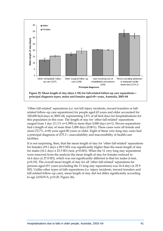

'Other fall-related' separations (i.e. not fall injury incidents, inward transfers or fallrelated follow-up care separations) for people aged 65 years and older accounted for 320,600 bed-days in 2003–04, representing 2.8% of all bed-days for hospitalisations for this population in this year. The length of stay for 'other fall-related' separations ranged from 1 day (11.1% n=1,995) to more than 5,000 days (n=1). Eleven separations had a length of stay of more than 1,000 days (0.06%). These cases were all female and most (72.7%, n=8) were aged 80 years or older. Eight of these very-long stay cases had a principal diagnosis of Z75.3—unavailability and inaccessibility of health-care facilities.

It is not surprising, then, that the mean length of stay for 'other fall-related' separations for females (19.1 days  $\pm$  89.5 SD) was significantly higher than the mean length of stay for males (16.1 days  $\pm$  23.3 SD t-test, p<0.001). When the 11 very long stay separations were removed from the analysis the mean length of stay for females reduced to 16.6 days (± 27.8 SD), which was not significantly different to that for males (t-test, p=0.19). The overall mean length of stay for all 'other fall-related' separations for persons aged 65+ years (excluding the 11 long stay separations) was 16.4 days (± 25.9 SD). Unlike other types of falls separations (i.e. injury incidents, inward transfers and fall-related follow-up care), mean length of stay did not differ significantly according to age (ANOVA, p=0.20. Figure 26).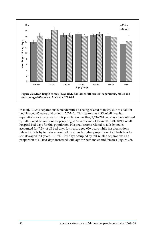

In total, 101,644 separations were identified as being related to injury due to a fall for people aged 65 years and older in 2003–04. This represents 4.3% of all hospital separations for any cause for this population. Further, 1,246,214 bed-days were utilised by fall-related separations by people aged 65 years and older in 2003–04, 10.9% of all hospital bed days for this population. Hospitalisations related to falls by males accounted for 7.2% of all bed-days for males aged 65+ years while hospitalisations related to falls by females accounted for a much higher proportion of all bed-days for females aged 65+ years—13.9%. Bed-days occupied by fall-related separations as a proportion of all bed-days increased with age for both males and females (Figure 27).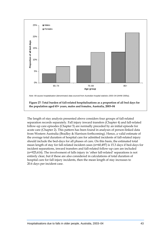

The length of stay analysis presented above considers four groups of fall-related separation records separately. Fall injury inward transfers (Chapter 4) and fall-related follow-up care episodes (Chapter 5) are normally preceded by an initial episode for acute care (Chapter 2). This pattern has been found in analyses of person-linked data from Western Australia (Bradley & Harrison forthcoming). Hence, a valid estimate of the average total duration of hospital care for admitted incidents of fall-related injury should include the bed-days for all phases of care. On this basis, the estimated total mean length of stay for fall-related incident cases (n=60,497) is 15.3 days if bed-days for incident separations, inward transfers and fall-related follow-up care are included (n=925,614). The involvement of falls injury in 'other fall-related' separations is not entirely clear, but if these are also considered in calculations of total duration of hospital care for fall injury incidents, then the mean length of stay increases to 20.6 days per incident case.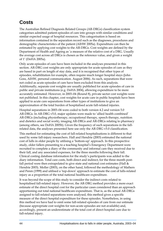# **Costs**

The Australian Refined Diagnosis Related Groups (AR-DRGs) classification system categorises admitted patient episodes of care into groups with similar conditions and similar expected usage of hospital resources. This categorisation is based on information contained in the separation record such as the diagnoses, procedures and demographic characteristics of the patient (AIHW 2005a). Expenditure can then be estimated by applying cost weights to the AR-DRGs. Cost weights are defined by the Department of Health and Ageing as 'a measure of the relative cost of a DRG. Usually the average cost across all DRGs is chosen as the reference value, and given a weight of 1' (DoHA 2005a).

Only acute episodes of care have been included in the analyses presented in this section. AR-DRG cost weights are only appropriate for acute episodes of care as they are based in part on length of stay data, and it is recognised that other types of episodes, rehabilitation for example, often require much longer hospital stays (John Goss, AIHW, personal communication. August 2006). As such, separations that were not coded as acute episodes of care have been excluded from this analysis. Additionally, separate cost weights are usually published for acute episodes of care in public and private institutions (e.g. DoHA 2004), allowing expenditure to be more accurately estimated. However, in 2003–04 (Round 8), private sector cost weights were not published. In this chapter, cost weights for acute care in public hospitals have been applied to acute care separations from other types of institutions to give an approximation of the total burden of hospitalised acute fall-related injuries.

Hospital separations in 2003–04 were coded to both version 4.2 and version 5.0 AR-DRGs. In AR-DRG v5.0, major updates were made to 'allied health combined' AR-DRGs (including physiotherapy, occupational therapy, speech therapy, nutrition and dietetics and social work), imaging AR-DRGs and AR-DRGs relating to pharmacy (among others, see DoHA 2005b). Given the frequency of such separations in the fallrelated data, the analyses presented here use only the AR-DRG v5.0 classification.

This method for estimating the cost of fall-related hospitalisations is different to that used by some fall-injury researchers. Hall and Hendrie (2003) estimated the national cost of falls in older people by utilising a 'bottom-up' approach. In this prospective study, older fallers presenting to a teaching hospital's Emergency Department were recruited to complete a diary of the community and informal care they received due to their fall, and any associated expenses, for the three months following their fall. Clinical costing database information for the study's participants was added to the diary information. Total care costs, both direct and indirect, for the three month postfall period were then extrapolated to give state and national cost estimates (Hall  $\&$ Hendrie 2003). Moller (2003), on the other hand, followed the methodology of Mathers and Penm (1999) and utilised a 'top-down' approach to estimate the cost of falls-related injury as a proportion of the total national healthcare expenditure.

It was beyond the scope of this study to consider the indirect costs related to hospitalised fall-related injury. However, the AR-DRG method provides a more exact estimate of the direct hospital cost for the particular cases considered than an approach apportioning out total national healthcare expenditure. That is, as the actual AR-DRGs assigned to fall-related separations were analysed, this method gives a specific measure of the direct hospital expenditure for these episodes. Nonetheless, in using this method we have had to omit some fall-related episodes of care from our estimate (because appropriate cost weights for non-acute episodes are not available) and, accordingly, present an underestimate of the total cost of direct hospital care due to fall-related injury.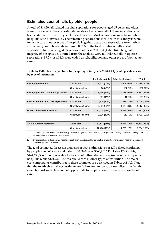### **Estimated cost of falls by older people**

A total of 84,420 fall-related hospital separations for people aged 65 years and older were considered in the cost estimate. As described above, all of these separations had been coded with an acute type of episode of care. Most separations were from public hospitals (79.5%, n=66,113). The remaining separations included in this analysis were for acute care in other types of hospital. Together, acute care separations from public and other types of hospitals represent 83.1% of the total number of fall-related separations for people aged 65 years and older in 2003–04 (Table 16). The great majority of the episodes omitted from the analysis were fall-related follow-up care separations, 89.2% of which were coded as rehabilitation and other types of non-acute care.

|                                         |                                  | <b>Public hospitals</b> | Other institutions <sup>2</sup> | Total        |
|-----------------------------------------|----------------------------------|-------------------------|---------------------------------|--------------|
| <b>Fall injury incidents</b>            | Acute care                       | 48,714 (99%)            | 11,001 (99%)                    | 59,715 (99%) |
|                                         | Other types of care <sup>1</sup> | 680 (1%)                | 102 (1%)                        | 782 (1%)     |
| Fall injury inward transfer separations | Acute care                       | 4,796 (89%)             | 1,881 (99%)                     | 6,677 (92%)  |
|                                         | Other types of care <sup>1</sup> | 581 (11%)               | 16 (1%)                         | 597 (8%)     |
| Fall-related follow-up care separations | Acute care                       | 1,175 (11%)             | 533 (11%)                       | 1,708 (11%)  |
|                                         | Other types of care <sup>1</sup> | 9,691 (89%)             | 4,426 (89%)                     | 14,117 (89%) |
| Other fall-related separations          | Acute care                       | 12,428 (89%)            | 3,892 (95%)                     | 16,320 (90%) |
|                                         | Other types of care <sup>1</sup> | 1,516 (11%)             | 212 (5%)                        | 1,728 (10%)  |
|                                         |                                  |                         |                                 |              |
| All fall-related separations            | Acute care                       | 67,113 (84%)            | 17,307 (78%)                    | 84,420 (83%) |
|                                         | Other types of care <sup>1</sup> | 12,468 (16%)            | 4,756 (22%)                     | 17,224 (17%) |

#### **Table 16: Fall-related separations for people aged 65+ years, 2003–04: type of episode of care by type of institution**

1. Other types of care include rehabilitation, palliative care, geriatric evaluation and management, psychogeriatric care, management care and other and unknown types of care.

2. Other institutions include private hospitals, repatriation hospitals, public psychiatric, private freestanding day hospital facilities and private hospitals in Tasmania.

The total estimated direct hospital cost of acute admissions for fall-related conditions by people aged 65 years and older in 2003–04 was \$565,952,111 (Table 17). Of this, \$444,699,386 (78.6%) was due to the cost of fall-related acute episodes of care in public hospitals while \$121,252,725 was due to care in other types of institution. The major cost components contributing to these estimates are described in Tables A2–A5. Note that the relatively small cost estimate for fall-related follow-up care reflects the fact that available cost weights were not appropriate for application to non-acute episodes of care.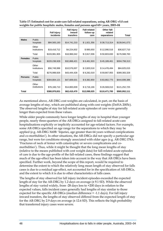|                |                       | <b>Fall injury</b><br>incidents | <b>Fall injury</b><br>inward<br>transfers | <b>Fall-related</b><br>follow-up<br>care | Other fall-<br>related<br>separations | Total         |
|----------------|-----------------------|---------------------------------|-------------------------------------------|------------------------------------------|---------------------------------------|---------------|
| <b>Males</b>   | Public<br>hospitals   | \$84,565,193                    | \$14,741,210                              | \$1,921,356                              | \$38,713,314                          | \$139,941,073 |
|                | Other<br>institutions | \$19,416,712                    | \$4,224,832                               | \$895,650                                | \$12,090,516                          | \$36,627,710  |
|                | Total                 | \$103,981,905                   | \$18,966,042                              | \$2,817,006                              | \$50,803,830                          | \$176,568,783 |
| <b>Females</b> | Public<br>hospitals   | \$220,238,928                   | \$32,868,421                              | \$6,461,503                              | \$45,189,461                          | \$304,758,313 |
|                | Other<br>institutions | \$56,749,998                    | \$10,576,007                              | \$2,820,516                              | \$14,478,494                          | \$84,625,015  |
|                | Total                 | \$276,988,926                   | \$43,444,428                              | \$9,282,019                              | \$59,667,955                          | \$389,383,328 |
| <b>Persons</b> | Public<br>hospitals   | \$304,804,121                   | \$47,609,631                              | \$8,382,859                              | \$83,902,775                          | \$444,699,386 |
|                | Other<br>institutions | \$76,166,710                    | \$14,800,839                              | \$3,716,166                              | \$26,569,010                          | \$121,252,725 |
| Total          |                       | \$380,970,831                   | \$62,410,470                              | \$12,099,025                             | \$110,471,785                         | \$565,952,111 |

**Table 17: Estimated cost for acute-care fall-related separations, using AR-DRG v5.0 cost weights for public hospitals: males, females and persons aged 65+ years, 2003–04** 

As mentioned above, AR-DRG cost weights are calculated, in part, on the basis of average lengths of stay, which are published along with cost weights (DoHA 2005c). The observed lengths of stay for fall-related acute episodes of care were generally longer than expected from these values.

While older people commonly have longer lengths of stay in hospital than younger people, nearly three-quarters of the AR-DRGs assigned to fall-related acute-care hospitalisations explicitly or implicitly accounted for age-related factors. For example, some AR-DRGs specified an age range for the separations to which they may be applied (e.g. AR-DRG X60B: 'Injuries, age greater than 64 years without complications and co-morbidities'). In other situations, the AR-DRGs did not specify a particular age range, but were for conditions strongly associated with older ages (e.g. AR-DRG I78A: 'Fractures of neck of femur with catastrophic or severe complications and comorbidities'). Thus, while it might be thought that the long mean lengths of stay (relative to the means published with cost weight data) for fall-related acute episodes of care is due to the age-profile of the fall-related cases, these findings suggest that much of the age-effect has been taken into account in the way that AR-DRGs have been specified. Further work, beyond the scope of this report, would be required to determine the extent to which the relatively long mean length of stay observed for falls cases is due to a residual age-effect, not accounted for in the specification of AR-DRGs, and the extent to which it is due to other characteristics of falls cases.

The lengths of stay observed for fall injury incident episodes exceeded the expected length of stay for the AR-DRG by 1.2 days on average (± 9.1 SD). While the observed lengths of stay varied widely, from -28 days less to +200 days in relation to the expected values, falls incident cases generally had lengths of stay similar to those expected for the specific AR-DRGs (median difference = -1.1 days). For fall injury inward transfers, the lengths of stay observed differed from the expected length of stay for the AR-DRG by 2.9 days on average (± 12.6 SD). This reflects the high probability that transferred injury cases were severe.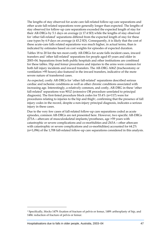The lengths of stay observed for acute care fall-related follow-up care separations and other acute fall-related separations were generally longer than expected. The lengths of stay observed for follow-up care separations exceeded the expected length of stay for their AR-DRGs by 5.1 days on average (± 17.4 SD) while the lengths of stay observed for 'other fall-related' separations differed from the expected length of stay for these case types by 6.9 days on average  $(\pm 43.2 \text{ SD})$ . Consequently, it is likely that the cost of these acute-care falls related separations was much higher, in actual terms, than is indicated by estimates based on cost weights for episodes of expected duration.

Tables 18 to 20 list the ten most costly AR-DRGs for acute falls incident cases, inward transfers and 'other fall-related' separations for people aged 65 years and older in 2003–04. Separations from both public hospitals and other institutions are combined for these tables. Hip and femur procedures and injuries to the arms were common for both fall injury incidents and inward transfers. The AR-DRG A06Z (tracheostomy or ventilation >95 hours) also featured in the inward transfers, indicative of the more severe nature of transferred cases.

As expected, costly AR-DRGs for 'other fall-related' separations described serious cardiac and ischemic conditions as well as other chronic conditions associated with increasing age. Interestingly, a relatively common, and costly, AR-DRG in these 'other fall-related' separations was 901Z (extensive OR procedure unrelated to principal diagnosis). The first-listed procedure block codes for 53.4% (n=117) were for procedures relating to injuries to the hip and thigh[1,](#page-56-0) confirming that the presence of fall injury codes in the record, despite a non-injury principal diagnosis, indicates a serious injury in these cases.

Due to the very few cases of fall-related follow-up care separations coded as acute episodes, common AR-DRGs are not presented here. However, two specific AR-DRGs (I73A—aftercare of musculoskeletal implants/prostheses, age >59 years with catastrophic or severe complications and co-morbidities and Z63A—other aftercare with catastrophic or severe complications and co-morbidities) accounted for 64.2% (n=1,096) of the 1,708 fall-related follow-up care separations considered in this analysis.

Hospitalisations due to falls in older people, Australia, 2003–04 47

 $\overline{a}$ 

<span id="page-56-0"></span><sup>1</sup> Specifically, blocks 1479: fixation of fracture of pelvis or femur, 1489: arthroplasty of hip, and 1486: reduction of fracture of pelvis or femur.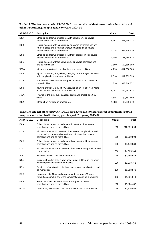| <b>AR-DRG v5.0</b> | <b>Description</b>                                                                                                                                                 | Count | Cost         |
|--------------------|--------------------------------------------------------------------------------------------------------------------------------------------------------------------|-------|--------------|
| <b>I08A</b>        | Other hip and femur procedures with catastrophic or severe<br>complications and co-morbidities                                                                     | 4,464 | \$68,915,232 |
| 103B               | Hip replacement with catastrophic or severe complications and<br>co-morbidities or hip revision without catastrophic or severe<br>complications and co-morbidities | 2,614 | \$43,768,816 |
| 108B               | Other hip and femur procedures without catastrophic or severe<br>complications and co-morbidities                                                                  | 3,709 | \$35,450,622 |
| 103C               | Hip replacement without catastrophic or severe complications<br>and co-morbidities                                                                                 | 1,660 | \$22,655,680 |
| <b>X60A</b>        | Injuries, age >64 with complications and co-morbidities                                                                                                            | 4,113 | \$17,356,860 |
| <b>I75A</b>        | Injury to shoulder, arm, elbow, knee, leg or ankle, age >64 years<br>with complications and co-morbidities                                                         | 2,518 | \$17,253,336 |
| <b>I77A</b>        | Fractures of pelvis with catastrophic or severe complications and<br>co-morbidities                                                                                | 1,316 | \$13,346,872 |
| <b>I75B</b>        | Injury to shoulder, arm, elbow, knee, leg or ankle, age >64 years<br>or with complications and co-morbidities                                                      | 4,283 | \$12,467,813 |
| <b>J65A</b>        | Trauma to the skin, subcutaneous tissue and breast, age >69<br>years                                                                                               | 3,546 | \$9,751,500  |
| 119Z               | Other elbow or forearm procedures                                                                                                                                  | 1,903 | \$9,286,640  |

**Table 18: The ten most costly AR-DRGs for acute falls incident cases (public hospitals and other institutions), people aged 65+ years, 2003–04** 

### **Table 19: The ten most costly AR-DRGs for acute falls inward-transfer separations (public hospitals and other institutions), people aged 65+ years, 2003–04**

| AR-DRG v5.0 | <b>Description</b>                                                                                                                                                 | Count | Cost         |
|-------------|--------------------------------------------------------------------------------------------------------------------------------------------------------------------|-------|--------------|
| <b>I08A</b> | Other hip and femur procedures with catastrophic or severe<br>complications and co-morbidities                                                                     | 813   | \$12,551,094 |
| 103B        | Hip replacement with catastrophic or severe complications and<br>co-morbidities or hip revision without catastrophic or severe<br>complications and co-morbidities | 516   | \$8,639,904  |
| 108B        | Other hip and femur procedures without catastrophic or severe<br>complications and co-morbidities                                                                  | 748   | \$7,149,384  |
| 103C        | Hip replacement without catastrophic or severe complications and<br>co-morbidities                                                                                 | 358   | \$4,885,984  |
| A06Z        | Tracheostomy or ventilation, >95 hours                                                                                                                             | 35    | \$2,465,925  |
| <b>I75A</b> | Injury to shoulder, arm, elbow, knee, leg or ankle, age >64 years<br>with complications and co-morbidities                                                         | 326   | \$2,233,752  |
| <b>I77A</b> | Fractures of pelvis with catastrophic or severe complications and<br>co-morbidities                                                                                | 166   | \$1,683,572  |
| 113B        | Humerus, tibia, fibula and ankle procedures, age >59 years<br>without catastrophic or severe complications and co-morbidities                                      | 193   | \$1,531,648  |
| <b>I78A</b> | Fractures of neck of femur with catastrophic or severe<br>complications and co-morbidities                                                                         | 212   | \$1,364,432  |
| <b>B02A</b> | Craniotomy with catastrophic complications and co-morbidities                                                                                                      | 39    | \$1,126,554  |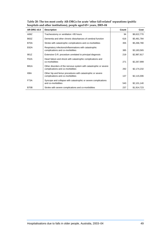| <b>AR-DRG v5.0</b> | <b>Description</b>                                                                                    | Count | Cost        |
|--------------------|-------------------------------------------------------------------------------------------------------|-------|-------------|
| A06Z               | Tracheostomy or ventilation >95 hours                                                                 | 94    | \$6,622,770 |
| <b>B63Z</b>        | Dementia and other chronic disturbances of cerebral function                                          | 616   | \$5,481,784 |
| <b>B70A</b>        | Stroke with catastrophic complications and co-morbidities                                             | 355   | \$5,266,780 |
| E62A               | Respiratory infections/inflammations with catastrophic<br>complications and co-morbidities            | 385   | \$3,183,565 |
| 901Z               | Extensive O.R. procedure unrelated to principal diagnosis                                             | 219   | \$2,987,817 |
| <b>F62A</b>        | Heart failure and shock with catastrophic complications and<br>co-morbidities                         | 271   | \$2,267,999 |
| <b>B81A</b>        | Other disorders of the nervous system with catastrophic or severe<br>complications and co-morbidities | 292   | \$2,174,232 |
| <b>I08A</b>        | Other hip and femur procedures with catastrophic or severe<br>complications and co-morbidities        | 137   | \$2,115,006 |
| <b>F73A</b>        | Syncope and collapse with catastrophic or severe complications<br>and co-morbidities                  | 540   | \$2,101,140 |
| B70B               | Stroke with severe complications and co-morbidities                                                   | 237   | \$1,914,723 |

**Table 20: The ten most costly AR-DRGs for acute 'other fall-related' separations (public hospitals and other institutions), people aged 65+ years, 2003–04**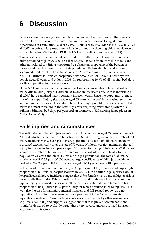# **6 Discussion**

Falls are common among older people and often result in fractures or other serious injuries. In Australia, approximately one in three older persons living at home experience a fall annually (Lord et al. 1993; Dolinis et al. 1997; Morris et al. 2004; Gill et al. 2005). A substantial proportion of falls in community-dwelling older people result in hospitalisation (Sattin et al. 1990; Hall & Hendrie 2003; Hendrie et al. 2004).

This report confirms that the rate of hospitalised falls for people aged 65 years and older remained high in 2003–04 and that hospitalisations for injuries due to falls and other fall-related conditions constituted a substantial proportion of the burden of disease and health expenditure for this population. Fall-related hospitalisations accounted for 4.3% of all hospitalisations for Australians aged 65 years and older in 2003–04. Further, fall-related hospitalisations accounted for 1,246,214 bed-days for people aged 65 years and older in 2003–04, representing 10.9% of all hospital bed-days for this population in this age group.

Other NISU reports show that age-standardised incidence rates of hospitalised fall injury due to falls (Berry & Harrison 2006) and injury deaths due to falls (Kreisfeld et al. 2004) have remained nearly constant in recent years. Since the population at most risk of this type of injury (i.e. people aged 65 years and older) is increasing, so is the annual number of cases. Hospitalised fall-related injury of older persons is predicted to increase almost threefold in the next fifty years, requiring over three quarters of a million additional bed days per year and an estimated 3,320 nursing home places in 2051 (Moller 2003).

## **Falls injuries and circumstances**

The estimated number of injury events due to falls in people aged 65 years and over in 2003–04 which resulted in hospitalisation was 60,341. The age-standardised rate of fall injury incidents was 2,295.3 per 100,000 population and rates of fall injury incidents increased exponentially after the age of 75 years. While convention maintains that fall injury indicators include all people aged 65+ years, following Pointer et al. (2003) agestandardised rates of fall injury incidents were also calculated specifically for the population 75 years and older. In this older aged population, the rate of fall injury incidents was 3,926.1 per 100,000 persons. Age-specific rates of fall injury incidents peaked at 9,653.7 per 100,000 for persons aged 90–94 years, nearly 10% per year. Reflective of the general population aged 65 years and older, females made up a higher proportion of fall-related hospitalisations in 2003–04. In addition, age-specific rates of hospitalised fall injury incidents suggest that older females have a much higher risk of serious falls than males. While injuries to the hip and thigh were the most common type of injury sustained in a serious fall incident for both males and females, a high proportion of hospitalised falls, particularly for males, resulted in head injuries. This was also the case for fall injury inward transfers and fall-related follow-up care separations. Head injuries were even more prominent in the 'other fall-related' separations analysed. These findings confirms similar results by other researchers (e.g. Peel et al. 2002) and supports suggestions that falls prevention interventions should be designed to explicitly target these very severe, and costly, head injuries in

addition to hip fractures.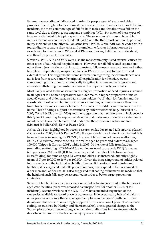External cause coding of fall-related injuries for people aged 65 years and older provides little insight into the circumstances of occurrence in most cases. For fall injury incidents, the most common type of fall for both males and females was a fall on the same level due to slipping, tripping and stumbling (W01). Six in ten of these types of falls were attributed to tripping specifically. The second most common type of fall injury incident was an 'unspecified fall' (W19) and the third most common type of fall injury incident was an 'other fall on same level' (W18). While W01 can be coded with a fourth digit to separate slips, trips and stumbles, no further information can be ascertained for the common W18 and W19 codes, making it difficult to understand, and therefore prevent, these falls.

Similarly, W01, W18 and W19 were also the most commonly-listed external causes for other types of fall-related hospitalisations. However, for all fall-related separations other than injury incidents (i.e. inward transfers, follow-up care separations and 'other fall-related' separations), unspecified falls (W19) were the most frequently listed external cause. This suggests that some information regarding the circumstances of a fall is lost from records after the original hospitalisation for the injury event, compounding difficulties for strategically targeting falls prevention programs and accurately attributing the burden of disease due to particular types of falls.

Most likely related to the observation of a higher proportion of head injuries sustained in all types of fall-related separations for older males, a higher proportion of males aged 65 years and older sustained falls from ladders (W11) than for females and the age-standardised rate of fall injury incidents involving ladders was more than four times higher for males than for females. Most falls from ladders were sustained in the home. These findings support observations by other researchers (e.g. Driscoll et al. 2003; Cassell & Clapperton 2006) and the suggestion that the difference in incidence for this type of injury may be exposure-related in that males may undertake riskier home maintenance tasks than females, and undertake these tasks in a riskier manner (Mwanri & Fuller 2003; Kent & Pearce 2006).

As has also been highlighted by recent research on ladder-related falls injuries (Cassell & Clapperton 2006; Kent & Pearce 2006), the age-standardised rate of hospitalised falls from ladders is increasing. In 1997–98, the rate of falls from ladders or scaffolding (ICD-9-CM external cause code 881) for males aged 65 years and older was 50.8 per 100,000 (Cripps & Carman 2001), while in 2003–04 the rate of falls from ladders (excluding scaffolding, ICD-10-AM 3rd edition external cause code W11) for males 65+ years was 69.0 per 100,000. In the same period, the rate of falls from ladders (± scaffolding) for females aged 65 years and older also increased, but only slightly (from 15.7 per 100,000 to 16.9 per 100,000). Given the increasing trend of ladder-related injury events and the fact that such falls often result in serious head injuries and fatalities, it is suggested that falls prevention programs expand initiatives aimed at older men and ladder use. It is also suggested that coding refinements be made so that the height of such falls may be ascertained in order to better target prevention strategies.

Seven out ten fall injury incidents were recorded as having occurred in the home or in aged care facilities (place was recorded as 'unspecified' for another 16.7% of fall incidents). Recent revisions of the ICD-10-AM have included expansion of the categories available to record place of occurrence. However, nearly half of all falls in older persons occur in 'other and unspecified places in the home' (with no further detail) and this observation strongly supports further revision of place of occurrence coding. As outlined by Henley and Harrison (2006), one suggested change to the 'home' place of occurrence coding is to include subdivisions in the category which describe which room of the home the injury was sustained.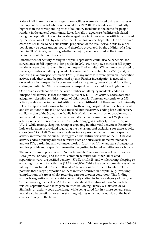Rates of fall injury incidents in aged care facilities were calculated using estimates of the population in residential aged care at June 30 2004. These rates were markedly higher than the corresponding rates of fall injury incidents in the home for people resident in the general community. Rates for falls in aged care facilities calculated using the population known to reside in aged care facilities may be artificially inflated by the inclusion of falls by aged care facility visitors or, perhaps, staff. However, such cases are not likely to be a substantial proportion of the total. Serious falls by older people may be better understood, and therefore prevented, by the addition of a flag item in NHMD data, recording whether an injury event occurred at the injured person's usual place of residence.

Enhancement of activity coding in hospital separations could also be beneficial for surveillance of fall injury in older people. In 2003–04, nearly two thirds of fall injury incidents were given the activity code 'unspecified activity'. While it may be related to the large number of fall injury incidents classed as 'unspecified falls' (W19) and/or occurring in an 'unspecified place' (Y92.9), many more falls were given an unspecified activity code than would be predicted by this. Further investigation is needed to determine why 'unspecified' codes are used so frequently; generally and for activity coding in particular. Study of samples of hospital records should shed light on this.

One possible explanation for the large number of fall injury incidents coded as 'unspecified activity' is that the current suite of ICD-10-AM activity codes does not adequately describe activities typical of older people. There are currently over 250 activity codes in use in the third edition of the ICD-10-AM but these are predominantly related to sports and leisure activities. In forthcoming hospital data collections the 4th and 5th editions of the ICD-10-AM are used, but the activity coding here will be very similar to that of the 3rd edition. While half of falls incidents in older people occur in and around the home, comparatively few falls incidents are coded as U72 (leisure activity not elsewhere classified), U73.1 (while engaged in other types of work) or U73.2 (while resting, sleeping, eating or engaging in other vital activities). Relatively little explanation is provided regarding the inclusions and exclusions for these activity codes (see NCCH 2002) and no subcategories are provided to record more specific activity information. As such, it is suggested that future revisions of the ICD-10-AM activity codes explicitly address activities such as housework, home maintenance and/or DIY, gardening and volunteer work in fourth- or fifth-character subcategories and/or provide more specific information regarding included activities for each code.

The most common place code for 'other fall-related' separations was Health Service Area (39.7%, n=7,163) and the most common activities for 'other fall-related' separations were 'unspecified activity' (57.8%, n=10,425) and while resting, sleeping or engaging in other vital activities (22.4%, n=4,036). While the exact circumstances of the fall injuries included in 'other fall-related' separations are difficult to interpret, it is possible that a large proportion of these injuries occurred in hospital (e.g. involving complications of care or whilst receiving care for another condition). This finding supports suggestions that a revision of activity coding include a category of the type 'while receiving medical care' to better understand the nature of these 'other fallrelated' separations and iatrogenic injuries (following Henley & Harrison 2006). Similarly, an activity code describing 'while being cared for' in a more general sense would also be beneficial for understanding injuries which occur outside of the health care sector (e.g. in the home).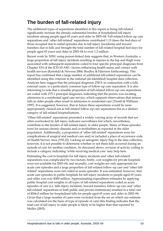## **The burden of fall-related injury**

The additional types of separations identified in this report as being fall-related significantly increase the already-substantial burden of hospitalised fall injury incidents among people aged 65 years and older in 2003–04. Fall-related follow-up care separations and 'other fall-related' separations contributed 1.13 times the bed-days of those occupied due to initial episodes due to fall injury (incidents) and inward transfers due to falls and brought the total number of fall-related hospital bed-days for people aged 65 years and older in 2003–04 to over 1.2 million.

Recent work by NISU using person-linked data suggests that, in Western Australia, a large proportion of fall injury incidents resulting in injuries to the hip and thigh were associated with subsequent separations coded to four specific principal diagnoses from Chapter XXI of the ICD-10-AM—factors influencing health status and contact with health services (Kreisfeld & Newson 2006; Bradley & Harrison forthcoming). This report has confirmed that a large number of additional fall-related separations can be identified using this criterion in the national (de-identified) hospital data collection. Analyses here suggest that the principal diagnosis Z50.9, in conjunction with a falls external cause, is a particularly common type of follow-up care separation. It is also interesting to note that a sizeable proportion of fall-related follow-up care separations are coded with Z75.1 principal diagnoses, indicating that the person was awaiting admission to a residential aged care service, which supports observations that serious falls in older people often result in admission to residential care (Tinetti & Williams 1997). It is suggested, however, that in future these separations would be more appropriately classed not as fall-related follow-up care separations but as a distinct category of fall-related hospitalisations.

'Other fall-related' separations presented a widely varying array of records that are often overlooked by fall injury indicator surveillance but which, nevertheless, contribute to the burden of fall-related injury in older people. Many of these episodes were for serious chronic diseases and co-morbidities as expected in the older population. Additionally, a proportion of 'other fall-related' separations were for complications of surgical and medical care and/or included a place of occurrence code of Health Service Area (Y92.22). Lacking an iatrogenic injury flag in the data collection, however, it is not possible to determine whether or not these falls occurred during an episode of care for another condition. As discussed above, revision of activity coding to include a category indicating 'while receiving medical care' may help here.

Estimating the cost to hospitals for fall injury incidents and 'other fall-related' separations was complicated by two factors; firstly, cost weights for private hospitals were not available for 2003–04, and secondly, cost weights are only appropriate for acute care episodes and a large proportion of fall-related follow-up care and 'other fallrelated' separations were not coded as acute episodes. It was estimated, however, that acute care episodes in public hospitals for fall injury incidents in people aged 65 years and older cost over \$300 million. Approximating expenditure estimates by applying public hospital cost weights to all types of fall-related separations coded as acute episodes of care (i.e. falls injury incidents, inward transfers, follow-up care and 'other fall-related' separations in both public and private institutions) resulted in a total cost of \$566.0 million for hospitalised falls for people aged 65 years and older in 2003–04. Given that a large number of cases were excluded from the set on which our estimate was calculated (on the basis of type of episode of care) this finding indicates that the total cost of fall injury in older people is likely to be higher than that reported by Moller (2003).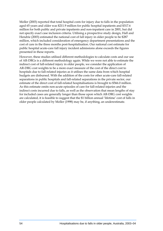Moller (2003) reported that total hospital costs for injury due to falls in the population aged 65 years and older was \$211.9 million for public hospital inpatients and \$317.6 million for both public and private inpatients and non-inpatient care in 2001, but did not specify exact case inclusion criteria. Utilising a prospective study design, Hall and Hendrie (2003) estimated the national cost of fall injury in older people to be \$287 million, which included consideration of emergency department presentations and the cost of care in the three months post-hospitalisation. Our national cost estimate for public hospital acute-care fall injury incident admissions alone exceeds the figures presented in these reports.

However, these studies utilised different methodologies to calculate costs and our use of AR-DRGs is a different methodology again. While we were not able to estimate the indirect cost of fall-related injury in older people, we consider the application of AR-DRG cost weights to be a more exact measure of the cost of the direct cost to hospitals due to fall-related injuries as it utilises the same data from which hospital budgets are disbursed. With the addition of the costs for other acute-care fall-related separations in public hospitals and fall-related separations in the private sector, our estimate of the direct cost of fall-related hospitalisations is brought to \$566.0 million. As this estimate omits non-acute episodes of care for fall-related injuries and the indirect costs incurred due to falls, as well as the observation that mean lengths of stay for included cases are generally longer than those upon which AR-DRG cost weights are calculated, it is feasible to suggest that the \$1 billion annual 'lifetime' cost of falls in older people calculated by Moller (1998) may be, if anything, an underestimate.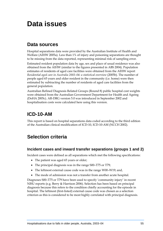# **Data issues**

## **Data sources**

Hospital separations data were provided by the Australian Institute of Health and Welfare (AIHW 2005a). Less than 1% of injury and poisoning separations are thought to be missing from the data reported, representing minimal risk of sampling error.

Estimated resident population data by age, sex and place of usual residence was also obtained from the AIHW (similar to the figures presented in ABS 2004). Population estimates of residents of aged care facilities were obtained from the AIHW report *Residential aged care in Australia 2003–04: a statistical overview* (2005b). The number of people aged 65 years and older resident in the community (i.e. home) were then estimated by subtracting the number of residents of aged care facilities from the general population.

Australian Refined Diagnosis Related Groups (Round 8) public hospital cost weights were obtained from the Australian Government Department for Health and Ageing (DoHA 2005c). AR-DRG version 5.0 was introduced in September 2002 and hospitalisation costs were calculated here using this version.

## **ICD-10-AM**

This report is based on hospital separations data coded according to the third edition of the Australian clinical modification of ICD-10, ICD-10-AM (NCCH 2002).

## **Selection criteria**

### **Incident cases and inward transfer separations (groups 1 and 2)**

Incident cases were defined as all separations which met the following specifications:

- The patient was aged 65 years or older;
- The principal diagnosis was in the range S00–T75 or T79;
- The leftmost external cause code was in the range W00–W19; and,
- The mode of admission was not a transfer from another acute hospital.

Diagnoses S00–T75 or T79 have been used to specify 'community injury' in recent NISU reports (e.g. Berry & Harrison 2006). Selection has been based on principal diagnosis because this refers to the condition chiefly accounting for the episode in hospital. The leftmost (first-listed) external cause code was chosen as a selection criterion as this is considered to be most highly correlated with principal diagnosis.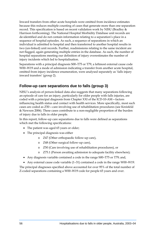Inward transfers from other acute hospitals were omitted from incidence estimates because this reduces multiple counting of cases that generate more than one separation record. This specification is based on recent validation work by NISU (Bradley & Harrison forthcoming). The National Hospital Morbidity Database unit records are de-identified and do not contain information relating to a separation's place in a sequence of hospital episodes. As such, a sequence of separations in which an individual is admitted to hospital and then transferred to another hospital results in two (un-linked) unit records. Further, readmissions relating to the same incident are not flagged, again generating multiple entries in the database. As such, the number of hospital separations meeting our definition of injury overestimates the number of injury incidents which led to hospitalisation.

Separations with a principal diagnosis S00–T75 or T79, a leftmost external cause code W00–W19 and a mode of admission indicating a transfer from another acute hospital, omitted from injury incidence enumeration, were analysed separately as 'falls injury inward transfers' (group 2).

### **Follow-up care separations due to falls (group 3)**

NISU's analysis of person-linked data also suggests that many separations following an episode of care for an injury, particularly for older people with falls injuries, are coded with a principal diagnosis from Chapter XXI of the ICD-10-AM—factors influencing health status and contact with health services. More specifically, most such cases are coded as Z50—care involving use of rehabilitation procedures (see Kreisfeld & Newson 2006). These cases contribute to a non-negligible proportion of the burden of injury due to falls in older people.

In this report, follow-up care separations due to falls were defined as separations which met the following specifications:

- The patient was aged 65 years or older;
- The principal diagnosis was either
	- o Z47 (Other orthopaedic follow-up care),
	- o Z48 (Other surgical follow-up care),
	- o Z50 (Care involving use of rehabilitation procedures), or
	- o Z75.1 (Person awaiting admission to adequate facility elsewhere);
- Any diagnosis variable contained a code in the range S00–T75 or T79; and,
- Any external cause code variable (1–31) contained a code in the range W00–W19.

The principal diagnoses specified above accounted for over 95% of the total number of Z-coded separations containing a W00–W19 code for people 65 years and over.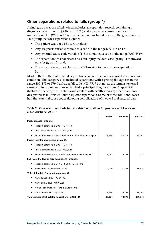### **Other separations related to falls (group 4)**

A final group was specified, which includes all separation records containing a diagnosis code for injury (S00–T75 or T79) and an external cause code for an unintentional fall (W00–W19) and which are not included in any of the groups above. This group includes separations where:

- The patient was aged 65 years or older;
- Any diagnosis variable contained a code in the range S00–T75 or T79;
- Any external cause code variable (1–31) contained a code in the range W00–W19;
- The separation was not classed as a fall injury incident case (group 1) or inward transfer (group 2); and,
- The separation was not classed as a fall-related follow-up care separation (group 3).

Most of these 'other fall-related' separations had a principal diagnosis for a non-injury condition. This category also included separations with a principal diagnosis in the range S00–T75 or T79 that had a fall code W00–W19 but not as the leftmost external cause and injury separations which had a principal diagnosis from Chapter XXI (factors influencing health status and contact with health services) other than those designated as fall-related follow-up care separations. Some of these additional cases had first external cause codes denoting complications of medical and surgical care.

|                                                                  | <b>Males</b> | <b>Females</b> | <b>Persons</b> |
|------------------------------------------------------------------|--------------|----------------|----------------|
| Incident cases (group 1):                                        |              |                |                |
| Principal diagnosis is S00-T75 or T79,                           |              |                |                |
| First external cause is W00-W19, and<br>٠                        |              |                |                |
| Mode of admission is not a transfer from another acute hospital. | 16,779       | 43,718         | 60,497         |
| Inward transfer separations (group 2):                           |              |                |                |
| Principal diagnosis is S00-T75 or T79,                           |              |                |                |
| First external cause is W00-W19, and                             |              |                |                |
| Mode of admission is a transfer from another acute hospital.     | 2,031        | 5,243          | 7,274          |
| Fall-related follow-up care separations (group 3):               |              |                |                |
| Principal diagnosis is Z47, Z48, Z50 or Z75.1, and               |              |                |                |
| Any external cause is W00-W19.                                   | 4,078        | 11,747         | 15,825         |
| 'Other fall-related' separations (group 4):                      |              |                |                |
| Any diagnosis S00-T75 or T79,                                    |              |                |                |
| Any external cause W00-W19,                                      |              |                |                |
| Not an incident case or inward transfer, and                     |              |                |                |
| Not a rehabilitation separation.<br>$\bullet$                    | 7,786        | 10,262         | 18,048         |
| Total number of fall-related separations in 2003-04              | 30,674       | 70,970         | 101,644        |

#### **Table 21: Case selection criteria for fall-related separations for people aged 65 years and older, Australia, 2003–04**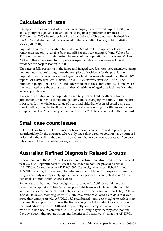## **Calculation of rates**

Age-specific rates were calculated for age-groups (five-year bands up to 90–94 years, and a group for ages 95 years and older) using final population estimates as at 31 December 2003 (the mid-point of the financial year). This data was obtained from the AIHW and similar to data presented in the Australian Demographic Statistics series (ABS 2004).

Population estimates according to Australian Standard Geographical Classification of remoteness are only available from the ABS for the year ending 30 June. Values for 31 December were calculated using the mean of the population estimates for 2003 and 2004 and these were used to compute age-specific rates by remoteness of usual residence for hospitalisation in 2003–04.

The rates of falls occurring in the home and in aged care facilities were calculated using denominator data reflecting the estimated place of residence for the population. Population estimates of residents of aged care facilities were obtained from the AIHW report *Residential aged care in Australia 2003–04: a statistical overview* (2005b). The number of people aged 65 years and older resident in the community (i.e. home) were then estimated by subtracting the number of residents of aged care facilities from the general population.

The age distribution of the population aged 65 years and older differs between jurisdictions, remoteness zones and genders, and is changing over time. In this report most rates for the whole age range 65 years and older have been adjusted using the direct method, in order to allow comparisons after accounting for differences in agecomposition. The Australian population at 30 June 2001 has been used as the standard.

## **Small case count issues**

Cell counts in Tables that are 5 cases or fewer have been suppressed to protect patient confidentiality. In the instances where only one cell in a row or column has a count of 5 or less, all other cells in the same row or column have also been suppressed. Age-based rates have not been calculated using such data.

## **Australian Refined Diagnosis Related Groups**

A new version of the AR-DRG classification structure was introduced for the financial year 2003–04. Separations in this year were coded to both the previous version (AR-DRG v4.2) and the new AR-DRG v5.0. Cost weights were published for both AR-DRG versions, however only for admissions to public sector hospitals. These cost weights are only appropriately applied to acute episodes of care (John Goss, AIHW, personal communication. August 2006).

Some of the limitations of cost weight data available for 2003–04 could have been overcome by applying 2002–03 cost weights (which are available for both the public and private sector) to the 2003–04 data, as has been done in similar reports (e.g. AIHW 2005a). However, cost weights for AR-DRG v4.2 were calculated from data that was more than eight years old. AR-DRG v5.0 recalibrated many cost weights to reflect more modern clinical practice and was the first costing data to be coded in accordance with the third edition of the ICD-10-AM. Importantly for this report, major updates were made to 'allied health combined' AR-DRGs (including physiotherapy, occupational therapy, speech therapy, nutrition and dietetics and social work), imaging AR-DRGs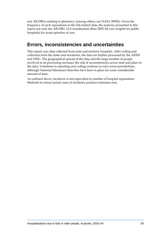and AR-DRGs relating to pharmacy (among others, see DoHA 2005b). Given the frequency of such separations in the fall-related data, the analyses presented in this report use only the AR-DRG v5.0 classification (thus 2003–04 cost weights for public hospitals) for acute episodes of care.

## **Errors, inconsistencies and uncertainties**

This report uses data collected from state and territory hospitals. After coding and collection from the states and territories, the data are further processed by the AIHW and NISU. The geographical spread of the data and the large number of people involved in its processing increases the risk of inconsistencies across time and place in the data. Variations in reporting and coding continue to exist across jurisdictions, although National Minimum Data Sets have been in place for some considerable amount of time.

As outlined above, incidence is not equivalent to number of hospital separations. Methods to extract actual cases of incidence produce estimates only.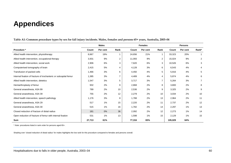# **Appendices**

|                                                                   | <b>Males</b> |          |                | <b>Females</b> |          |                | <b>Persons</b> |          |                |
|-------------------------------------------------------------------|--------------|----------|----------------|----------------|----------|----------------|----------------|----------|----------------|
| Procedure *                                                       | Count        | Per cent | Rank           | Count          | Per cent | Rank           | Count          | Per cent | Rank*          |
| Allied health intervention, physiotherapy                         | 8,667        | 19%      |                | 24,656         | 21%      |                | 33,323         | 20%      |                |
| Allied health intervention, occupational therapy                  | 3,931        | 9%       | $\overline{2}$ | 11,093         | 9%       | $\overline{2}$ | 15,024         | 9%       | 2              |
| Allied health intervention, social work                           | 2,906        | 6%       | 3              | 7,620          | 6%       | 3              | 10,526         | 6%       | 3              |
| Computerised tomography of brain                                  | 2,415        | 5%       | 4              | 4,128          | 3%       | 6              | 6,543          | 4%       | 4              |
| Transfusion of packed cells                                       | 1,466        | 3%       | 6              | 4,450          | 4%       | 5              | 5,916          | 4%       | 5              |
| Internal fixation of fracture of trochanteric or subcapital femur | 1,385        | 3%       | $\overline{7}$ | 4,489          | 4%       | 4              | 5,874          | 4%       | 6              |
| Allied health intervention, dietetics                             | 1,547        | 3%       | 5              | 3,717          | 3%       | $\overline{7}$ | 5,264          | 3%       | $\overline{7}$ |
| Hemiarthroplasty of femur                                         | 932          | 2%       | 9              | 2,868          | 2%       | 8              | 3,800          | 2%       | 8              |
| General anaesthesia, ASA 99                                       | 789          | 2%       | 10             | 2,536          | 2%       | 9              | 3,325          | 2%       | 9              |
| General anaesthesia, ASA 39                                       | 755          | 2%       | 12             | 2,279          | 2%       | 10             | 3,034          | 2%       | 10             |
| Allied health intervention, speech pathology                      | 1,176        | 3%       | 8              | 1,788          | 2%       | 13             | 2,964          | 2%       | 11             |
| General anaesthesia, ASA 29                                       | 517          | 1%       | 15             | 2,220          | 2%       | 11             | 2,737          | 2%       | 12             |
| General anaesthesia, ASA 30                                       | 515          | 1%       | 16             | 1,782          | 2%       | 14             | 2,297          | $1\%$    | 13             |
| Closed reduction of fracture of distal radius                     | 181          | 0%       | 36             | 2,092          | 2%       | 12             | 2,273          | 1%       | 14             |
| Open reduction of fracture of femur with internal fixation        | 531          | 1%       | 13             | 1,598          | 1%       | 15             | 2,129          | 1%       | 15             |
| Sum                                                               | 27,713       | 61%      |                | 77,316         | 65%      |                | 105,029        | 64%      |                |

**Table A1: Common procedure types by sex for fall injury incidents. Males, females and persons 65+ years, Australia, 2003–04** 

\* *Note:* procedures listed in rank order for persons aged 65+.

Shading over 'closed reduction of distal radius' for males highlights the low rank for this procedure compared to females and persons overall.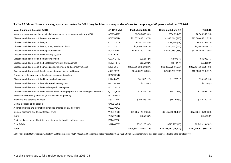| <b>Major Diagnostic Category (MDC)</b>                                                   | AR-DRG v5.0 | <b>Public hospitals (N)</b> | Other institutions (N) | Total (N)              |
|------------------------------------------------------------------------------------------|-------------|-----------------------------|------------------------|------------------------|
| Major procedures where the principal diagnosis may be associated with any MDC            | A01Z-A41Z   | \$5,706,855 (81)            | \$634,095(9)           | \$6,340,950 (90)       |
| Diseases and disorders of the nervous system                                             | B01Z-B81B   | \$11,572,408 (2,479)        | \$1,988,244 (346)      | \$13,560,652 (2,825)   |
| Diseases and disorders of the eye                                                        | C01Z-C63B   | \$639,730 (345)             | \$138,945 (68)         | \$778,675 (413)        |
| Diseases and disorders of the ear, nose, mouth and throat                                | D01Z-D67Z   | \$1,330,632 (676)           | \$360,160 (151)        | \$1,690,792 (827)      |
| Diseases and disorders of the respiratory system                                         | E01A-E75C   | \$8,582,149 (1,742)         | \$2,880,813 (565)      | \$11,462,962 (2,307)   |
| Diseases and disorders of the circulatory system                                         | F01Z-F75C   |                             |                        |                        |
| Diseases and disorders of the digestive system                                           | G01A-G70B   | $$39,107$ (*)               | $$3,875$ (*)           | \$42,982(5)            |
| Diseases and disorders of the hepatobiliary system and pancreas                          | H01A-H64B   | $$19,719$ (*)               | $$9,444$ (*)           | $$29,163$ (*)          |
| Diseases and disorders of the musculoskeletal system and connective tissue               | I01Z-I76C   | \$236,086,588 (30,827)      | \$61,380,578 (7,577)   | \$297,467,166 (38,404) |
| Diseases and disorders of the skin, subcutaneous tissue and breast                       | J01Z-J67B   | \$8,460,020 (3,081)         | \$2,040,208 (736)      | \$10,500,228 (3,817)   |
| Endocrine, nutritional and metabolic diseases and disorders                              | K01Z-K64B   |                             |                        |                        |
| Diseases and disorders of the kidney and urinary tract                                   | L01A-L67C   | \$81,518 (22)               | $$11,725 (*)$          | \$93,243(24)           |
| Diseases and disorders of the male reproductive system                                   | M01Z-M64Z   | $$2,518$ (*)                |                        | $$2,518$ (*)           |
| Diseases and disorders of the female reproductive system                                 | N01Z-N62B   |                             |                        |                        |
| Diseases and disorders of the blood and blood forming organs and immunological disorders | Q01Z-Q62B   | \$78,372 (12)               | \$54,226(6)            | \$132,598(18)          |
| Neoplastic disorders (haematological and solid neoplasms)                                | R01A-R64Z   |                             |                        |                        |
| Infectious and parasitic diseases                                                        | S60Z-T64B   | \$194,238 (26)              | \$46,192(9)            | \$240,430(35)          |
| Mental diseases and disorders                                                            | U40Z-U68Z   |                             |                        |                        |
| Alcohol/drug use and alcohol/drug induced organic mental disorders                       | V60Z-V64Z   |                             |                        |                        |
| Injuries, poisoning and toxic effects of drugs                                           | W01Z-X64B   | \$31,255,425 (9,350)        | \$6,107,918 (1,489)    | \$37,363,343 (10,839)  |
| <b>Burns</b>                                                                             | Y01Z-Y62B   | $$22,716 (*)$               |                        | $$22,716 (*)$          |
| Factors influencing health status and other contacts with health services                | Z01A-Z65Z   |                             |                        |                        |
| <b>Error DRGs</b>                                                                        | 901Z-963Z   | \$732,126 (62)              | \$510,287 (40)         | \$1,242,413 (102)      |
| <b>Total</b>                                                                             |             | \$304,804,121 (48,714)      | \$76,166,710 (11,001)  | \$380,970,831 (59,715) |

#### **Table A2: Major diagnostic category cost estimates for fall injury incident acute episodes of care for people aged 65 years and older, 2003–04**

*Note:* Table omits MDCs Pregnancy, childbirth and the puerperium (O01A–O65B) and Newborns and other neonates (P01Z–P67D). Small case numbers have also been suppressed in this table, denoted by (\*).

J.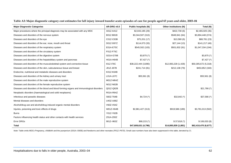| <b>Major Diagnostic Categories</b>                                                       | AR-DRG v5.0 | <b>Public hospitals (N)</b> | Other institutions (N) | Total (N)            |
|------------------------------------------------------------------------------------------|-------------|-----------------------------|------------------------|----------------------|
| Major procedures where the principal diagnosis may be associated with any MDC            | A01Z-A41Z   | \$2,043,195(29)             | \$422,730 (6)          | \$2,465,925 (35)     |
| Diseases and disorders of the nervous system                                             | B01Z-B81B   | \$3,344,507 (310)           | \$549,941 (64)         | \$3,894,448 (374)    |
| Diseases and disorders of the eye                                                        | C01Z-C63B   | \$75,201(17)                | \$13,580(6)            | \$88,781 (23)        |
| Diseases and disorders of the ear, nose, mouth and throat                                | D01Z-D67Z   | \$114,073 (33)              | \$27,144(13)           | \$141,217 (46)       |
| Diseases and disorders of the respiratory system                                         | E01A-E75C   | \$545,502 (103)             | \$501,832 (91)         | \$1,047,334 (194)    |
| Diseases and disorders of the circulatory system                                         | F01Z-F75C   |                             |                        |                      |
| Diseases and disorders of the digestive system                                           | G01A-G70B   | $$3,875$ (*)                |                        | $$3,875$ (*)         |
| Diseases and disorders of the hepatobiliary system and pancreas                          | H01A-H64B   | $$7,427$ (*)                |                        | $$7,427$ (*)         |
| Diseases and disorders of the musculoskeletal system and connective tissue               | I01Z-I76C   | \$38,222,444 (3,890)        | \$12,083,228 (1,428)   | \$50,305,672 (5,318) |
| Diseases and disorders of the skin, subcutaneous tissue and breast                       | J01Z-J67B   | \$241,714(81)               | \$212,138 (79)         | \$453,852 (160)      |
| Endocrine, nutritional and metabolic diseases and disorders                              | K01Z-K64B   |                             |                        |                      |
| Diseases and disorders of the kidney and urinary tract                                   | L01A-L67C   | \$55,561(8)                 |                        | \$55,561(8)          |
| Diseases and disorders of the male reproductive system                                   | M01Z-M64Z   |                             |                        |                      |
| Diseases and disorders of the female reproductive system                                 | N01Z-N62B   |                             |                        |                      |
| Diseases and disorders of the blood and blood forming organs and immunological disorders | Q01Z-Q62B   |                             |                        | $$21,766$ (*)        |
| Neoplastic disorders (haematological and solid neoplasms)                                | R01A-R64Z   |                             |                        |                      |
| Infectious and parasitic diseases                                                        | S60Z-T64B   | $$4,724$ (*)                | $$32,842$ (*)          | $$37,566$ (*)        |
| Mental diseases and disorders                                                            | U40Z-U68Z   |                             |                        |                      |
| Alcohol/drug use and alcohol/drug induced organic mental disorders                       | V60Z-V64Z   |                             |                        |                      |
| Injuries, poisoning and toxic effects of drugs                                           | W01Z-X64B   | \$2,861,427 (313)           | \$919,586 (189)        | \$3,781,013 (502)    |
| <b>Burns</b>                                                                             | Y01Z-Y62B   |                             |                        |                      |
| Factors influencing health status and other contacts with health services                | Z01A-Z65Z   |                             |                        |                      |
| Error DRGs                                                                               | 901Z-963Z   | $$68,215 (*)$               | $$37,818 (*)$          | \$106,033(8)         |
| <b>Total</b>                                                                             |             | \$47,609,631 (4,796)        | \$14,800,839 (1,881)   | \$62,410,470 (6,677) |

**Table A3: Major diagnostic category cost estimates for fall injury inward transfer acute episodes of care for people aged 65 years and older, 2003–04** 

*Note:* Table omits MDCs Pregnancy, childbirth and the puerperium (O01A–O65B) and Newborns and other neonates (P01Z–P67D). Small case numbers have also been suppressed in this table, denoted by (\*).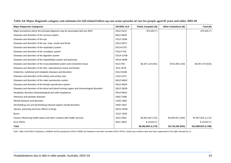| <b>Major Diagnostic Categories</b>                                                       | AR-DRG v5.0 | Public hospitals (N) | Other institutions (N) | Total (N)            |
|------------------------------------------------------------------------------------------|-------------|----------------------|------------------------|----------------------|
| Major procedures where the principal diagnosis may be associated with any MDC            | A01Z-A41Z   | $$70,455$ (*)        |                        | $$70,455$ (*)        |
| Diseases and disorders of the nervous system                                             | B01Z-B81B   |                      |                        |                      |
| Diseases and disorders of the eye                                                        | C01Z-C63B   |                      |                        |                      |
| Diseases and disorders of the ear, nose, mouth and throat                                | D01Z-D67Z   |                      |                        |                      |
| Diseases and disorders of the respiratory system                                         | E01A-E75C   |                      |                        |                      |
| Diseases and disorders of the circulatory system                                         | F01Z-F75C   |                      |                        |                      |
| Diseases and disorders of the digestive system                                           | G01A-G70B   |                      |                        |                      |
| Diseases and disorders of the hepatobiliary system and pancreas                          | H01A-H64B   |                      |                        |                      |
| Diseases and disorders of the musculoskeletal system and connective tissue               | I01Z-I76C   | \$3,347,119(431)     | \$710,355 (103)        | \$4,057,474 (534)    |
| Diseases and disorders of the skin, subcutaneous tissue and breast                       | J01Z-J67B   |                      |                        |                      |
| Endocrine, nutritional and metabolic diseases and disorders                              | K01Z-K64B   |                      |                        |                      |
| Diseases and disorders of the kidney and urinary tract                                   | L01A-L67C   |                      |                        |                      |
| Diseases and disorders of the male reproductive system                                   | M01Z-M64Z   |                      |                        |                      |
| Diseases and disorders of the female reproductive system                                 | N01Z-N62B   |                      |                        |                      |
| Diseases and disorders of the blood and blood forming organs and immunological disorders | Q01Z-Q62B   |                      |                        |                      |
| Neoplastic disorders (haematological and solid neoplasms)                                | R01A-R64Z   |                      |                        |                      |
| Infectious and parasitic diseases                                                        | S60Z-T64B   |                      |                        |                      |
| Mental diseases and disorders                                                            | U40Z-U68Z   |                      |                        |                      |
| Alcohol/drug use and alcohol/drug induced organic mental disorders                       | V60Z-V64Z   |                      |                        |                      |
| Injuries, poisoning and toxic effects of drugs                                           | W01Z-X64B   |                      |                        |                      |
| <b>Burns</b>                                                                             | Y01Z-Y62B   |                      |                        |                      |
| Factors influencing health status and other contacts with health services                | Z01A-Z65Z   | \$4,951,642 (742)    | \$3,005,811 (430)      | \$7,957,453 (1,172)  |
| <b>Error DRGs</b>                                                                        | 901Z-963Z   | $$13,643$ (*)        |                        | $$13,643$ (*)        |
| <b>Total</b>                                                                             |             | \$8,382,859 (1,175)  | \$3,716,166 (533)      | \$12,099,025 (1,708) |

**Table A4: Major diagnostic category cost estimates for fall-related follow-up care acute episodes of care for people aged 65 years and older, 2003–04** 

<span id="page-72-0"></span>Note: Table omits MDCs Pregnancy, childbirth and the puerperium (O01A–O65B) and Newborns and other neonates (P01Z–P67D). Small case numbers have also been suppressed in this table, denoted by (\*).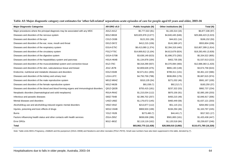| <b>Major Diagnostic Categories</b>                                                       | AR-DRG v5.0 | <b>Public hospitals (N)</b> | Other institutions (N) | Total (N)              |
|------------------------------------------------------------------------------------------|-------------|-----------------------------|------------------------|------------------------|
| Major procedures where the principal diagnosis may be associated with any MDC            | A01Z-A41Z   | \$5,777,022 (81)            | \$1,100,314(16)        | \$6,877,336 (97)       |
| Diseases and disorders of the nervous system                                             | B01Z-B81B   | \$20,825,978 (2,677)        | \$4,840,445 (646)      | \$25,666,423 (3,323)   |
| Diseases and disorders of the eye                                                        | C01Z-C63B   | \$121,531(36)               | \$44,621(14)           | \$166,152 (50)         |
| Diseases and disorders of the ear, nose, mouth and throat                                | D01Z-D67Z   | \$412,215 (159)             | \$141,589(47)          | \$553,804 (206)        |
| Diseases and disorders of the respiratory system                                         | E01A-E75C   | \$8,413,080 (1,374)         | \$2,394,319 (440)      | \$10,807,399 (1,814)   |
| Diseases and disorders of the circulatory system                                         | F01Z-F75C   | \$14,669,812 (3,104)        | \$4,613,679 (824)      | \$19,283,491 (3,928)   |
| Diseases and disorders of the digestive system                                           | G01A-G70B   | \$3,638,149 (623)           | \$1,696,373 (282)      | \$5,334,522 (905)      |
| Diseases and disorders of the hepatobiliary system and pancreas                          | H01A-H64B   | \$1,134,878 (164)           | \$402,735 (58)         | \$1,537,613 (222)      |
| Diseases and disorders of the musculoskeletal system and connective tissue               | 101Z-176C   | \$8,318,299 (937)           | \$4,370,084 (483)      | \$12,688,383 (1,420)   |
| Diseases and disorders of the skin, subcutaneous tissue and breast                       | J01Z-J67B   | \$2,809,628 (475)           | \$865,130 (149)        | \$3,674,758 (624)      |
| Endocrine, nutritional and metabolic diseases and disorders                              | K01Z-K64B   | \$2,671,811 (455)           | \$789,311 (131)        | \$3,461,122 (586)      |
| Diseases and disorders of the kidney and urinary tract                                   | L01A-L67C   | \$4,750,759 (798)           | \$936,856 (176)        | \$5,687,615 (974)      |
| Diseases and disorders of the male reproductive system                                   | M01Z-M64Z   | \$310,135(54)               | \$271,032 (46)         | \$581,167 (100)        |
| Diseases and disorders of the female reproductive system                                 | N01Z-N62B   | $$91,038$ (*)               | $$92,212$ (*)          | \$183,250(37)          |
| Diseases and disorders of the blood and blood forming organs and immunological disorders | Q01Z-Q62B   | \$755,415 (181)             | \$237,322 (53)         | \$992,737 (234)        |
| Neoplastic disorders (haematological and solid neoplasms)                                | R01A-R64Z   | \$1,215,034 (112)           | \$870,156 (91)         | \$2,085,190 (203)      |
| Infectious and parasitic diseases                                                        | S60Z-T64B   | \$2,396,702 (257)           | \$450,215 (49)         | \$2,846,917 (306)      |
| Mental diseases and disorders                                                            | U40Z-U68Z   | \$1,176,672 (145)           | \$460,449 (58)         | \$1,637,121 (203)      |
| Alcohol/drug use and alcohol/drug induced organic mental disorders                       | V60Z-V64Z   | \$213,877 (112)             | \$51,115(21)           | \$264,992 (133)        |
| Injuries, poisoning and toxic effects of drugs                                           | W01Z-X64B   | \$969,503 (199)             | \$194,294 (46)         | \$1,163,797 (245)      |
| Burns                                                                                    | Y01Z-Y62B   | $$273,480 (*)$              | $$44,441$ (*)          | \$317,921 (17)         |
| Factors influencing health status and other contacts with health services                | Z01A-Z65Z   | \$838,638 (286)             | \$581,800 (161)        | \$1,420,438 (447)      |
| <b>Error DRGs</b>                                                                        | 901Z-963Z   | \$2,119,119 (162)           | \$1,120,518(84)        | \$3,239,637 (246)      |
| <b>Total</b>                                                                             |             | \$83,902,775 (12,428)       | \$26,569,010 (3,892)   | \$110,471,785 (16,320) |

**Table A5: Major diagnostic category cost estimates for 'other fall-related' separations acute episodes of care for people aged 65 years and older, 2003–04** 

<span id="page-73-0"></span>*Note:* Table omits MDCs Pregnancy, childbirth and the puerperium (O01A–O65B) and Newborns and other neonates (P01Z–P67D). Small case numbers have also been suppressed in this table, denoted by (\*).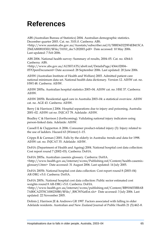## **References**

ABS (Australian Bureau of Statistics) 2004. Australian demographic statistics. December quarter 2003. Cat. no. 3101.0. Canberra: ABS.

<http://www.ausstats.abs.gov.au/Ausstats/subscriber.nsf/0/5BBD6D229F4EB415CA 256EA8008183E0/\$File/31010\_dec%202003.pdf> Date accessed: 10 May 2006. Last updated: 7 Feb 2006.

ABS 2006. National health survey: Summary of results, 2004–05. Cat. no. 4364.0. Canberra: ABS.

<http://www.abs.gov.au/AUSSTATS/abs@.nsf/DetailsPage/4364.02004– 05?OpenDocument> Date accessed: 28 September 2006. Last updated: 20 June 2006.

AIHW (Australian Institute of Health and Welfare) 2003. Admitted patient care national minimum data set. National health data dictionary. Version 12. AIHW cat. no. HWI 48. Canberra: AIHW.

AIHW 2005a. Australian hospital statistics 2003–04. AIHW cat. no. HSE 37. Canberra: AIHW.

AIHW 2005b. Residential aged care in Australia 2003–04: a statistical overview. AIHW cat. no. AGE 43. Canberra: AIHW.

Berry J & Harrison J 2006. Hospital separations due to injury and poisoning, Australia 2001–02. AIHW cat no. INJCAT 78. Adelaide: AIHW.

Bradley C & Harrison J (forthcoming). Validating national injury indicators using person-linked data. Adelaide: AIHW.

Cassell E & Clapperton A 2006. Consumer product-related injury (3): Injury related to the use of ladders. Hazard 63 (Winter):1–15.

Cripps R & Carman J 2001. Falls by the elderly in Australia: trends and data for 1998. AIHW cat. no. INJCAT 35. Adelaide: AIHW.

DoHA (Department of Health and Ageing) 2004. National hospital cost data collection: Cost report round 7 (2002–03). Canberra: DoHA.

DoHA 2005a. Australian casemix glossary. Canberra: DoHA. <http://www.health.gov.au/internet/wcms/Publishing.nsf/Content/health-casemixglossary1.htm> Date accessed: 31 August 2006. Last updated: 14 July 2005.

DoHA 2005b. National hospital cost data collection: Cost report round 8 (2003–04) AR-DRG v5.0. Canberra: DoHA.

DoHA 2005c. National hospital cost data collection: Public sector estimated cost weights round 8 AR-DRG v5.0. Canberra: DoHA.

<http://www.health.gov.au/internet/wcms/publishing.nsf/Content/BB918453BBAB 7AB0CA2570C1000230B0/\$File/\_R8CWNatEst.xls> Date accessed: 3 July 2006. Last updated: 22 November 2005.

Dolinis J, Harrison JE & Andrews GR 1997. Factors associated with falling in older Adelaide residents. Australian and New Zealand Journal of Public Health 21 (5):462–8.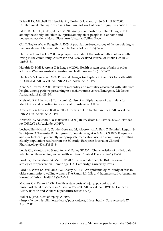Driscoll TR, Mitchell RJ, Hendrie AL, Healey SH, Mandryk JA & Hull BP 2003. Unintentional fatal injuries arising from unpaid work at home. Injury Prevention 9:15–9.

Fildes B, Dunt D, Oxley J & Lee S 1994. Analysis of morbidity data relating to falls among the elderly. In: Fildes B. Injuries among older people falls at home and pedestrian accidents North Blackburn, Victoria: Collins Dove.

Gill T, Taylor AW & Pengelly A 2005. A population-based survey of factors relating to the prevalence of falls in older people. Gerontology 51 (5):340–5.

Hall SE & Hendrie DV 2003. A prospective study of the costs of falls in older adults living in the community. Australian and New Zealand Journal of Public Health 27 (3):343–51.

Hendrie D, Hall S, Arena G & Legge M 2004. Health system costs of falls of older adults in Western Australia. Australian Health Review 28 (3):363–73.

Henley G & Harrison J 2006. Potential changes to chapters XIX and XX for sixth edition ICD-10-AM. AIHW cat. no. INJCAT 73. Adelaide: AIHW.

Kent A & Pearce A 2006. Review of morbidity and mortality associated with falls from heights among patients presenting to a major trauma centre. Emergency Medicine Australasia 18 (1):23–30.

Kreisfeld R & Harrison J (forthcoming). Use of multiple causes of death data for identifying and reporting injury mortality. Adelaide: AIHW.

Kreisfeld R & Newson R 2006. NISU Briefing 8: Hip fracture injuries. AIHW cat. no. INJCAT 93. Adelaide: AIHW.

Kreisfeld R., Newson R. & Harrison J. (2004) Injury deaths, Australia 2002 AIHW cat. no. INJCAT 65. Adelaide: AIHW.

Lechevallier-Michel N, Gautier-Bertrand M, Alperovitch A, Berr C, Belmin J, Legrain S, Saint-Jean O, Tavernier B, Dartigues JF, Fourrier-Reglat A & Grp CS 2005. Frequency and risk factors of potentially inappropriate medication use in a community-dwelling elderly population: results from the 3C study. European Journal of Clinical Pharmacology 60 (11):813–9.

Lewis CL, Moutoux M, Slaughter M & Bailey SP 2004. Characteristics of individuals who fell while receiving home health services. Physical Therapy 84 (1):23–32.

Lord SR, Sherrington C & Menz HB 2001. Falls in older people: Risk factors and strategies for prevention. Cambridge, UK: Cambridge University Press.

Lord SR, Ward JA, Williams P & Anstey KJ 1993. An epidemiological study of falls in older community-dwelling women: The Randwick falls and fractures study. Australian Journal of Public Health 17 (3):240–5.

Mathers C & Penm R 1999. Health system costs of injury, poisoning and musculoskeletal disorders in Australia 1993–94. AIHW cat. no. HWE 12. Canberra: AIHW (Health and Welfare Expenditure Series no. 6).

Moller J. (1998) Cost of injury. AIHW.

<http://www.nisu.flinders.edu.au/pubs/injcost/injcost.html> Date accessed: 27 April 2006.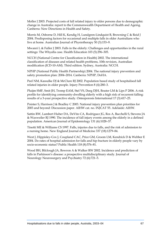Moller J 2003. Projected costs of fall related injury to older persons due to demographic change in Australia: report to the Commonwealth Department of Health and Ageing. Canberra: New Directions in Health and Safety.

Morris M, Osborne D, Hill K, Kendig H, Lundgren-Lindquist B, Browning C & Reid J 2004. Predisposing factors for occasional and multiple falls in older Australians who live at home. Australian Journal of Physiotherapy 50 (3):153–9.

Mwanri L & Fuller J 2003. Falls in the elderly: Challenges and opportunities in the rural settings: The Whyalla case. Health Education 103 (5):296–305.

NCCH (National Centre for Classification in Health) 2002. The international classification of diseases and related health problems, 10th revision, Australian modification (ICD-10-AM). Third edition. Sydney, Australia: NCCH.

NPHP (National Public Health Partnership) 2004. The national injury prevention and safety promotion plan: 2004–2014. Canberra: NPHP, DoHA.

Peel NM, Kassulke DJ & McClure RJ 2002. Population based study of hospitalised fall related injuries in older people. Injury Prevention 8 (4):280–3.

Pluijm SMF, Smit JH, Tromp EAM, Stel VS, Deeg DJH, Bouter LM & Lips P 2006. A risk profile for identifying community-dwelling elderly with a high risk of recurrent falling: results of a 3-year prospective study. Osteoporosis International 17 (3):417–25.

Pointer S, Harrison J & Bradley C 2003. National injury prevention plan priorities for 2003 and beyond: Discussion paper. AIHW cat. no. INJCAT 55. Adelaide: AIHW.

Sattin RW, Lambert Huber DA, DeVito CA, Rodriguez JG, Ros A, Bacchelli S, Stevens JA & Waxweiler RJ 1990. The incidence of fall injury events among the elderly in a defined population. American Journal of Epidemiology 131 (6):1028–37.

Tinetti ME & Williams CS 1997. Falls, injuries due to falls, and the risk of admission to a nursing home. New England Journal of Medicine 337 (18):1279–84.

West J, Hippisley-Cox J, Coupland CAC, Price GM, Groom LM, Kendrick D & Webber E 2004. Do rates of hospital admission for falls and hip fracture in elderly people vary by socio-economic status? Public Health 118 (8):576–81.

Wood BH, Bilclough JA, Bowron A & Walker RW 2002. Incidence and prediction of falls in Parkinson's disease: a prospective multidisciplinary study. Journal of Neurology Neurosurgery and Psychiatry 72 (6):721–5.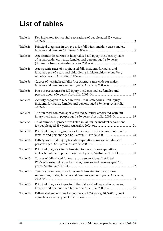## **List of tables**

| Table 1:  | Key indicators for hospital separations of people aged 65+ years,                                                                           | . 3 |
|-----------|---------------------------------------------------------------------------------------------------------------------------------------------|-----|
| Table 2:  | Principal diagnosis injury types for fall injury incident cases, males,                                                                     |     |
| Table 3:  | Age-standardised rates of hospitalised fall injury incidents by state<br>of usual residence, males, females and persons aged 65+ years      |     |
| Table 4:  | Age-specific rates of hospitalised falls incidents for males and<br>females aged 65 years and older living in Major cities versus Very      |     |
| Table 5:  | Causes of hospitalised falls: first external cause code for males,<br>females and persons aged 65+ years, Australia, 2003-04 12             |     |
| Table 6:  | Place of occurrence for fall injury incidents, males, females and                                                                           |     |
| Table 7:  | Activity engaged in when injured – main categories – fall injury<br>incidents for males, females and persons aged 65+ years, Australia,     |     |
| Table 8:  | The ten most common sports-related activities associated with fall<br>injury incidents in people aged 65+ years, Australia, 2003-04 19      |     |
| Table 9:  | Total number of procedures listed in fall injury incident separations                                                                       |     |
| Table 10: | Principal diagnosis groups for fall injury transfer separations, males,                                                                     | 25  |
| Table 11: | Falls types for fall injury transfer separations, males, females and                                                                        |     |
| Table 12: | Principal diagnosis for fall-related follow-up care separations,<br>males, females and persons aged 65+ years, Australia, 2003-04  30       |     |
|           | Table 13: Causes of fall-related follow-up care separations: first listed<br>W00-W19 external cause for males, females and persons aged 65+ |     |
| Table 14: | Ten most common procedures for fall-related follow-up care<br>separations, males, females and persons aged 65+ years, Australia,            |     |
| Table 15: | Principal diagnosis types for 'other fall-related' separations, males,                                                                      |     |
| Table 16: | Fall-related separations for people aged 65+ years, 2003-04: type of                                                                        |     |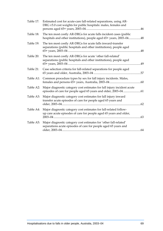| Table 17: | Estimated cost for acute-care fall-related separations, using AR-<br>DRG v5.0 cost weights for public hospitals: males, females and<br>.46     |
|-----------|------------------------------------------------------------------------------------------------------------------------------------------------|
| Table 18: | The ten most costly AR-DRGs for acute falls incident cases (public<br>hospitals and other institutions), people aged 65+ years, 2003-04<br>.48 |
| Table 19: | The ten most costly AR-DRGs for acute falls inward-transfer<br>separations (public hospitals and other institutions), people aged<br>.48       |
| Table 20: | The ten most costly AR-DRGs for acute 'other fall-related'<br>separations (public hospitals and other institutions), people aged<br>.49        |
| Table 21: | Case selection criteria for fall-related separations for people aged<br>.57                                                                    |
| Table A1: | Common procedure types by sex for fall injury incidents. Males,                                                                                |
| Table A2: | Major diagnostic category cost estimates for fall injury incident acute                                                                        |
| Table A3: | Major diagnostic category cost estimates for fall injury inward<br>transfer acute episodes of care for people aged 65 years and<br>.62         |
| Table A4: | Major diagnostic category cost estimates for fall-related follow-<br>up care acute episodes of care for people aged 65 years and older,<br>.63 |
| Table A5: | Major diagnostic category cost estimates for 'other fall-related'<br>separations acute episodes of care for people aged 65 years and<br>.64    |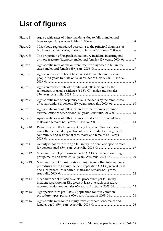## **List of figures**

| Figure 1:  | Age-specific rates of injury incidents due to falls in males and                                                                                                                                             |  |
|------------|--------------------------------------------------------------------------------------------------------------------------------------------------------------------------------------------------------------|--|
| Figure 2:  | Major body region injured according to the principal diagnosis of<br>fall injury incident cases, males and females 65+ years, 2003-04 6                                                                      |  |
| Figure 3:  | The proportion of hospitalised fall injury incidents incurring one<br>or more fracture diagnoses, males and females 65+ years, 2003-047                                                                      |  |
| Figure 4:  | Age-specific rates of one or more fracture diagnoses in fall injury                                                                                                                                          |  |
| Figure 5:  | Age-standardised rates of hospitalised fall-related injury in all<br>people 65+ years by state of usual residence (± 95% CI), Australia,                                                                     |  |
| Figure 6:  | Age-standardised rate of hospitalised falls incidents by the<br>remoteness of usual residence (±95% CI), males and females                                                                                   |  |
| Figure 7:  | Age-specific rate of hospitalised falls incidents by the remoteness<br>of usual residence, persons 65+ years, Australia, 2003-04  10                                                                         |  |
| Figure 8:  | Age-specific rates of falls incidents for the five most common<br>external cause codes, persons 65+ years, Australia, 2003-04 13                                                                             |  |
| Figure 9:  | Age-specific rates of falls incidents for falls on or from ladders,                                                                                                                                          |  |
| Figure 10: | Rates of falls in the home and in aged care facilities calculated<br>using the estimated population of people resident in the general<br>community and residential care, males and females 65+ years,        |  |
| Figure 11: | Activity engaged in during a fall injury incident: age-specific rates                                                                                                                                        |  |
| Figure 12: | Mean number of procedures/blocks $(\pm SE)$ per separation by age                                                                                                                                            |  |
| Figure 13: | Mean number of 'non-invasive, cognitive and other interventions'<br>procedures per fall injury incident separation $(\pm S E)$ , given at least<br>one such procedure reported, males and females 65+ years, |  |
| Figure 14: | Mean number of musculoskeletal procedures per fall injury<br>incident separation (± SE), given at least one such procedure                                                                                   |  |
| Figure 15: | Age specific rates per 100,000 population for four common                                                                                                                                                    |  |
| Figure 16: | Age-specific rates for fall injury transfer separations, males and                                                                                                                                           |  |